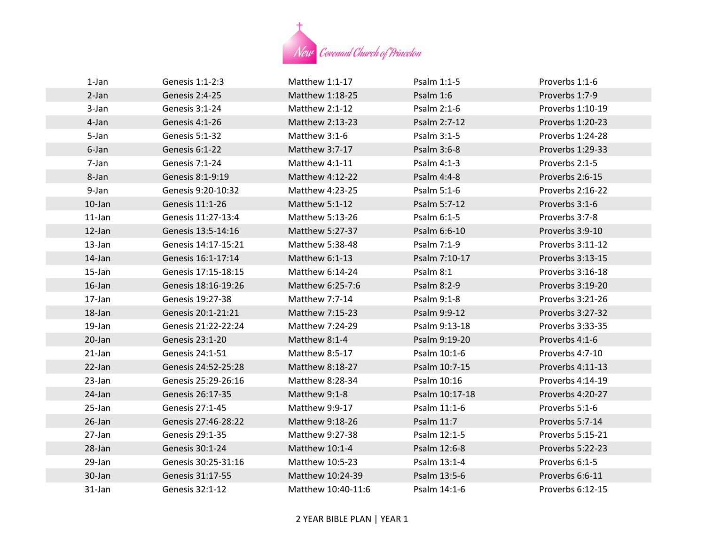

| 1-Jan     | Genesis 1:1-2:3     | Matthew $1:1-17$   | Psalm 1:1-5    | Proverbs 1:1-6   |
|-----------|---------------------|--------------------|----------------|------------------|
| 2-Jan     | Genesis 2:4-25      | Matthew 1:18-25    | Psalm 1:6      | Proverbs 1:7-9   |
| 3-Jan     | Genesis 3:1-24      | Matthew $2:1-12$   | Psalm 2:1-6    | Proverbs 1:10-19 |
| 4-Jan     | Genesis 4:1-26      | Matthew 2:13-23    | Psalm 2:7-12   | Proverbs 1:20-23 |
| 5-Jan     | Genesis 5:1-32      | Matthew 3:1-6      | Psalm 3:1-5    | Proverbs 1:24-28 |
| 6-Jan     | Genesis 6:1-22      | Matthew 3:7-17     | Psalm 3:6-8    | Proverbs 1:29-33 |
| 7-Jan     | Genesis 7:1-24      | Matthew 4:1-11     | Psalm 4:1-3    | Proverbs 2:1-5   |
| 8-Jan     | Genesis 8:1-9:19    | Matthew 4:12-22    | Psalm 4:4-8    | Proverbs 2:6-15  |
| 9-Jan     | Genesis 9:20-10:32  | Matthew 4:23-25    | Psalm 5:1-6    | Proverbs 2:16-22 |
| $10$ -Jan | Genesis 11:1-26     | Matthew 5:1-12     | Psalm 5:7-12   | Proverbs 3:1-6   |
| $11$ -Jan | Genesis 11:27-13:4  | Matthew 5:13-26    | Psalm 6:1-5    | Proverbs 3:7-8   |
| $12$ -Jan | Genesis 13:5-14:16  | Matthew 5:27-37    | Psalm 6:6-10   | Proverbs 3:9-10  |
| 13-Jan    | Genesis 14:17-15:21 | Matthew 5:38-48    | Psalm 7:1-9    | Proverbs 3:11-12 |
| $14$ -Jan | Genesis 16:1-17:14  | Matthew 6:1-13     | Psalm 7:10-17  | Proverbs 3:13-15 |
| 15-Jan    | Genesis 17:15-18:15 | Matthew 6:14-24    | Psalm 8:1      | Proverbs 3:16-18 |
| $16$ -Jan | Genesis 18:16-19:26 | Matthew 6:25-7:6   | Psalm 8:2-9    | Proverbs 3:19-20 |
| 17-Jan    | Genesis 19:27-38    | Matthew 7:7-14     | Psalm 9:1-8    | Proverbs 3:21-26 |
| 18-Jan    | Genesis 20:1-21:21  | Matthew 7:15-23    | Psalm 9:9-12   | Proverbs 3:27-32 |
| 19-Jan    | Genesis 21:22-22:24 | Matthew 7:24-29    | Psalm 9:13-18  | Proverbs 3:33-35 |
| 20-Jan    | Genesis 23:1-20     | Matthew 8:1-4      | Psalm 9:19-20  | Proverbs 4:1-6   |
| $21$ -Jan | Genesis 24:1-51     | Matthew 8:5-17     | Psalm 10:1-6   | Proverbs 4:7-10  |
| 22-Jan    | Genesis 24:52-25:28 | Matthew 8:18-27    | Psalm 10:7-15  | Proverbs 4:11-13 |
| 23-Jan    | Genesis 25:29-26:16 | Matthew 8:28-34    | Psalm 10:16    | Proverbs 4:14-19 |
| 24-Jan    | Genesis 26:17-35    | Matthew 9:1-8      | Psalm 10:17-18 | Proverbs 4:20-27 |
| 25-Jan    | Genesis 27:1-45     | Matthew 9:9-17     | Psalm 11:1-6   | Proverbs 5:1-6   |
| $26$ -Jan | Genesis 27:46-28:22 | Matthew 9:18-26    | Psalm 11:7     | Proverbs 5:7-14  |
| 27-Jan    | Genesis 29:1-35     | Matthew 9:27-38    | Psalm 12:1-5   | Proverbs 5:15-21 |
| 28-Jan    | Genesis 30:1-24     | Matthew 10:1-4     | Psalm 12:6-8   | Proverbs 5:22-23 |
| 29-Jan    | Genesis 30:25-31:16 | Matthew 10:5-23    | Psalm 13:1-4   | Proverbs 6:1-5   |
| 30-Jan    | Genesis 31:17-55    | Matthew 10:24-39   | Psalm 13:5-6   | Proverbs 6:6-11  |
| $31$ -Jan | Genesis 32:1-12     | Matthew 10:40-11:6 | Psalm 14:1-6   | Proverbs 6:12-15 |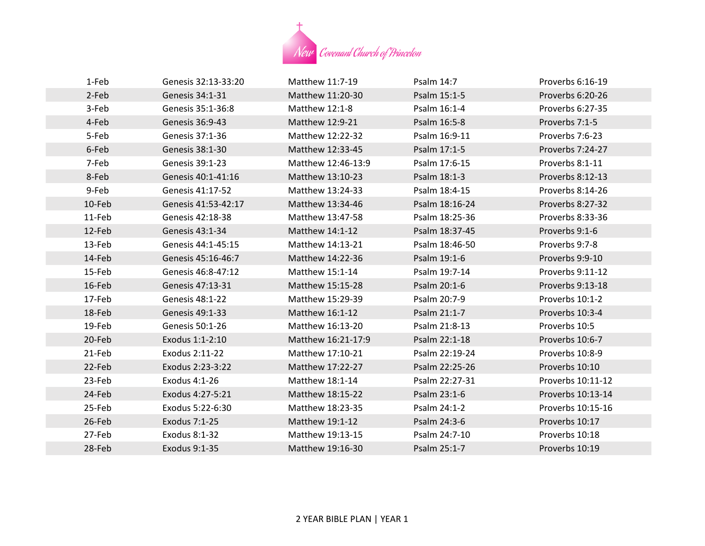

| 1-Feb  | Genesis 32:13-33:20 | Matthew 11:7-19    | Psalm 14:7     | Proverbs 6:16-19  |
|--------|---------------------|--------------------|----------------|-------------------|
| 2-Feb  | Genesis 34:1-31     | Matthew 11:20-30   | Psalm 15:1-5   | Proverbs 6:20-26  |
| 3-Feb  | Genesis 35:1-36:8   | Matthew 12:1-8     | Psalm 16:1-4   | Proverbs 6:27-35  |
| 4-Feb  | Genesis 36:9-43     | Matthew 12:9-21    | Psalm 16:5-8   | Proverbs 7:1-5    |
| 5-Feb  | Genesis 37:1-36     | Matthew 12:22-32   | Psalm 16:9-11  | Proverbs 7:6-23   |
| 6-Feb  | Genesis 38:1-30     | Matthew 12:33-45   | Psalm 17:1-5   | Proverbs 7:24-27  |
| 7-Feb  | Genesis 39:1-23     | Matthew 12:46-13:9 | Psalm 17:6-15  | Proverbs 8:1-11   |
| 8-Feb  | Genesis 40:1-41:16  | Matthew 13:10-23   | Psalm 18:1-3   | Proverbs 8:12-13  |
| 9-Feb  | Genesis 41:17-52    | Matthew 13:24-33   | Psalm 18:4-15  | Proverbs 8:14-26  |
| 10-Feb | Genesis 41:53-42:17 | Matthew 13:34-46   | Psalm 18:16-24 | Proverbs 8:27-32  |
| 11-Feb | Genesis 42:18-38    | Matthew 13:47-58   | Psalm 18:25-36 | Proverbs 8:33-36  |
| 12-Feb | Genesis 43:1-34     | Matthew 14:1-12    | Psalm 18:37-45 | Proverbs 9:1-6    |
| 13-Feb | Genesis 44:1-45:15  | Matthew 14:13-21   | Psalm 18:46-50 | Proverbs 9:7-8    |
| 14-Feb | Genesis 45:16-46:7  | Matthew 14:22-36   | Psalm 19:1-6   | Proverbs 9:9-10   |
| 15-Feb | Genesis 46:8-47:12  | Matthew 15:1-14    | Psalm 19:7-14  | Proverbs 9:11-12  |
| 16-Feb | Genesis 47:13-31    | Matthew 15:15-28   | Psalm 20:1-6   | Proverbs 9:13-18  |
| 17-Feb | Genesis 48:1-22     | Matthew 15:29-39   | Psalm 20:7-9   | Proverbs 10:1-2   |
| 18-Feb | Genesis 49:1-33     | Matthew 16:1-12    | Psalm 21:1-7   | Proverbs 10:3-4   |
| 19-Feb | Genesis 50:1-26     | Matthew 16:13-20   | Psalm 21:8-13  | Proverbs 10:5     |
| 20-Feb | Exodus 1:1-2:10     | Matthew 16:21-17:9 | Psalm 22:1-18  | Proverbs 10:6-7   |
| 21-Feb | Exodus 2:11-22      | Matthew 17:10-21   | Psalm 22:19-24 | Proverbs 10:8-9   |
| 22-Feb | Exodus 2:23-3:22    | Matthew 17:22-27   | Psalm 22:25-26 | Proverbs 10:10    |
| 23-Feb | Exodus 4:1-26       | Matthew 18:1-14    | Psalm 22:27-31 | Proverbs 10:11-12 |
| 24-Feb | Exodus 4:27-5:21    | Matthew 18:15-22   | Psalm 23:1-6   | Proverbs 10:13-14 |
| 25-Feb | Exodus 5:22-6:30    | Matthew 18:23-35   | Psalm 24:1-2   | Proverbs 10:15-16 |
| 26-Feb | Exodus 7:1-25       | Matthew 19:1-12    | Psalm 24:3-6   | Proverbs 10:17    |
| 27-Feb | Exodus 8:1-32       | Matthew 19:13-15   | Psalm 24:7-10  | Proverbs 10:18    |
| 28-Feb | Exodus 9:1-35       | Matthew 19:16-30   | Psalm 25:1-7   | Proverbs 10:19    |
|        |                     |                    |                |                   |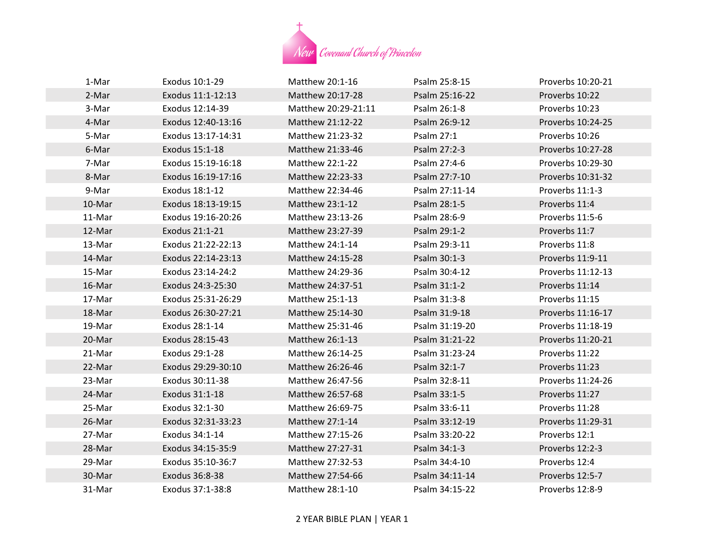

| 1-Mar  | Exodus 10:1-29     | Matthew 20:1-16     | Psalm 25:8-15  | Proverbs 10:20-21 |
|--------|--------------------|---------------------|----------------|-------------------|
| 2-Mar  | Exodus 11:1-12:13  | Matthew 20:17-28    | Psalm 25:16-22 | Proverbs 10:22    |
| 3-Mar  | Exodus 12:14-39    | Matthew 20:29-21:11 | Psalm 26:1-8   | Proverbs 10:23    |
| 4-Mar  | Exodus 12:40-13:16 | Matthew 21:12-22    | Psalm 26:9-12  | Proverbs 10:24-25 |
| 5-Mar  | Exodus 13:17-14:31 | Matthew 21:23-32    | Psalm 27:1     | Proverbs 10:26    |
| 6-Mar  | Exodus 15:1-18     | Matthew 21:33-46    | Psalm 27:2-3   | Proverbs 10:27-28 |
| 7-Mar  | Exodus 15:19-16:18 | Matthew 22:1-22     | Psalm 27:4-6   | Proverbs 10:29-30 |
| 8-Mar  | Exodus 16:19-17:16 | Matthew 22:23-33    | Psalm 27:7-10  | Proverbs 10:31-32 |
| 9-Mar  | Exodus 18:1-12     | Matthew 22:34-46    | Psalm 27:11-14 | Proverbs 11:1-3   |
| 10-Mar | Exodus 18:13-19:15 | Matthew 23:1-12     | Psalm 28:1-5   | Proverbs 11:4     |
| 11-Mar | Exodus 19:16-20:26 | Matthew 23:13-26    | Psalm 28:6-9   | Proverbs 11:5-6   |
| 12-Mar | Exodus 21:1-21     | Matthew 23:27-39    | Psalm 29:1-2   | Proverbs 11:7     |
| 13-Mar | Exodus 21:22-22:13 | Matthew 24:1-14     | Psalm 29:3-11  | Proverbs 11:8     |
| 14-Mar | Exodus 22:14-23:13 | Matthew 24:15-28    | Psalm 30:1-3   | Proverbs 11:9-11  |
| 15-Mar | Exodus 23:14-24:2  | Matthew 24:29-36    | Psalm 30:4-12  | Proverbs 11:12-13 |
| 16-Mar | Exodus 24:3-25:30  | Matthew 24:37-51    | Psalm 31:1-2   | Proverbs 11:14    |
| 17-Mar | Exodus 25:31-26:29 | Matthew 25:1-13     | Psalm 31:3-8   | Proverbs 11:15    |
| 18-Mar | Exodus 26:30-27:21 | Matthew 25:14-30    | Psalm 31:9-18  | Proverbs 11:16-17 |
| 19-Mar | Exodus 28:1-14     | Matthew 25:31-46    | Psalm 31:19-20 | Proverbs 11:18-19 |
| 20-Mar | Exodus 28:15-43    | Matthew 26:1-13     | Psalm 31:21-22 | Proverbs 11:20-21 |
| 21-Mar | Exodus 29:1-28     | Matthew 26:14-25    | Psalm 31:23-24 | Proverbs 11:22    |
| 22-Mar | Exodus 29:29-30:10 | Matthew 26:26-46    | Psalm 32:1-7   | Proverbs 11:23    |
| 23-Mar | Exodus 30:11-38    | Matthew 26:47-56    | Psalm 32:8-11  | Proverbs 11:24-26 |
| 24-Mar | Exodus 31:1-18     | Matthew 26:57-68    | Psalm 33:1-5   | Proverbs 11:27    |
| 25-Mar | Exodus 32:1-30     | Matthew 26:69-75    | Psalm 33:6-11  | Proverbs 11:28    |
| 26-Mar | Exodus 32:31-33:23 | Matthew 27:1-14     | Psalm 33:12-19 | Proverbs 11:29-31 |
| 27-Mar | Exodus 34:1-14     | Matthew 27:15-26    | Psalm 33:20-22 | Proverbs 12:1     |
| 28-Mar | Exodus 34:15-35:9  | Matthew 27:27-31    | Psalm 34:1-3   | Proverbs 12:2-3   |
| 29-Mar | Exodus 35:10-36:7  | Matthew 27:32-53    | Psalm 34:4-10  | Proverbs 12:4     |
| 30-Mar | Exodus 36:8-38     | Matthew 27:54-66    | Psalm 34:11-14 | Proverbs 12:5-7   |
| 31-Mar | Exodus 37:1-38:8   | Matthew 28:1-10     | Psalm 34:15-22 | Proverbs 12:8-9   |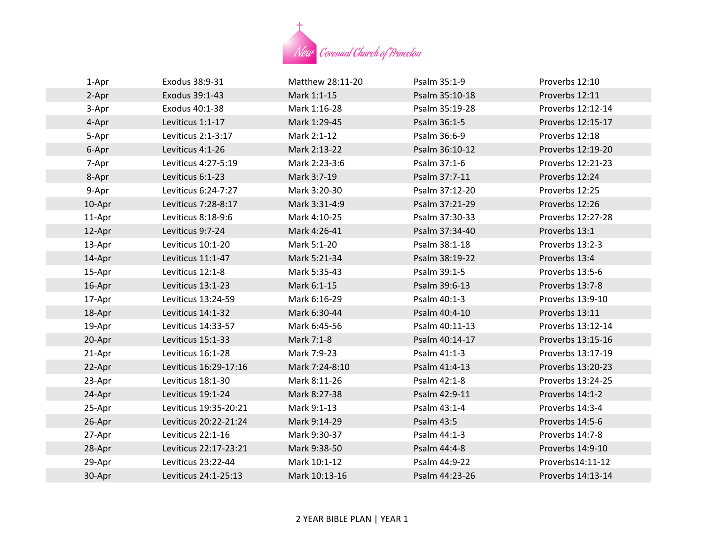

| 1-Apr  | Exodus 38:9-31        | Matthew 28:11-20 | Psalm 35:1-9   | Proverbs 12:10    |
|--------|-----------------------|------------------|----------------|-------------------|
| 2-Apr  | Exodus 39:1-43        | Mark 1:1-15      | Psalm 35:10-18 | Proverbs 12:11    |
| 3-Apr  | Exodus 40:1-38        | Mark 1:16-28     | Psalm 35:19-28 | Proverbs 12:12-14 |
| 4-Apr  | Leviticus 1:1-17      | Mark 1:29-45     | Psalm 36:1-5   | Proverbs 12:15-17 |
| 5-Apr  | Leviticus 2:1-3:17    | Mark 2:1-12      | Psalm 36:6-9   | Proverbs 12:18    |
| 6-Apr  | Leviticus 4:1-26      | Mark 2:13-22     | Psalm 36:10-12 | Proverbs 12:19-20 |
| 7-Apr  | Leviticus 4:27-5:19   | Mark 2:23-3:6    | Psalm 37:1-6   | Proverbs 12:21-23 |
| 8-Apr  | Leviticus 6:1-23      | Mark 3:7-19      | Psalm 37:7-11  | Proverbs 12:24    |
| 9-Apr  | Leviticus 6:24-7:27   | Mark 3:20-30     | Psalm 37:12-20 | Proverbs 12:25    |
| 10-Apr | Leviticus 7:28-8:17   | Mark 3:31-4:9    | Psalm 37:21-29 | Proverbs 12:26    |
| 11-Apr | Leviticus 8:18-9:6    | Mark 4:10-25     | Psalm 37:30-33 | Proverbs 12:27-28 |
| 12-Apr | Leviticus 9:7-24      | Mark 4:26-41     | Psalm 37:34-40 | Proverbs 13:1     |
| 13-Apr | Leviticus 10:1-20     | Mark 5:1-20      | Psalm 38:1-18  | Proverbs 13:2-3   |
| 14-Apr | Leviticus 11:1-47     | Mark 5:21-34     | Psalm 38:19-22 | Proverbs 13:4     |
| 15-Apr | Leviticus 12:1-8      | Mark 5:35-43     | Psalm 39:1-5   | Proverbs 13:5-6   |
| 16-Apr | Leviticus 13:1-23     | Mark 6:1-15      | Psalm 39:6-13  | Proverbs 13:7-8   |
| 17-Apr | Leviticus 13:24-59    | Mark 6:16-29     | Psalm 40:1-3   | Proverbs 13:9-10  |
| 18-Apr | Leviticus 14:1-32     | Mark 6:30-44     | Psalm 40:4-10  | Proverbs 13:11    |
| 19-Apr | Leviticus 14:33-57    | Mark 6:45-56     | Psalm 40:11-13 | Proverbs 13:12-14 |
| 20-Apr | Leviticus 15:1-33     | Mark 7:1-8       | Psalm 40:14-17 | Proverbs 13:15-16 |
| 21-Apr | Leviticus 16:1-28     | Mark 7:9-23      | Psalm 41:1-3   | Proverbs 13:17-19 |
| 22-Apr | Leviticus 16:29-17:16 | Mark 7:24-8:10   | Psalm 41:4-13  | Proverbs 13:20-23 |
| 23-Apr | Leviticus 18:1-30     | Mark 8:11-26     | Psalm 42:1-8   | Proverbs 13:24-25 |
| 24-Apr | Leviticus 19:1-24     | Mark 8:27-38     | Psalm 42:9-11  | Proverbs 14:1-2   |
| 25-Apr | Leviticus 19:35-20:21 | Mark 9:1-13      | Psalm 43:1-4   | Proverbs 14:3-4   |
| 26-Apr | Leviticus 20:22-21:24 | Mark 9:14-29     | Psalm 43:5     | Proverbs 14:5-6   |
| 27-Apr | Leviticus 22:1-16     | Mark 9:30-37     | Psalm 44:1-3   | Proverbs 14:7-8   |
| 28-Apr | Leviticus 22:17-23:21 | Mark 9:38-50     | Psalm 44:4-8   | Proverbs 14:9-10  |
| 29-Apr | Leviticus 23:22-44    | Mark 10:1-12     | Psalm 44:9-22  | Proverbs14:11-12  |
| 30-Apr | Leviticus 24:1-25:13  | Mark 10:13-16    | Psalm 44:23-26 | Proverbs 14:13-14 |
|        |                       |                  |                |                   |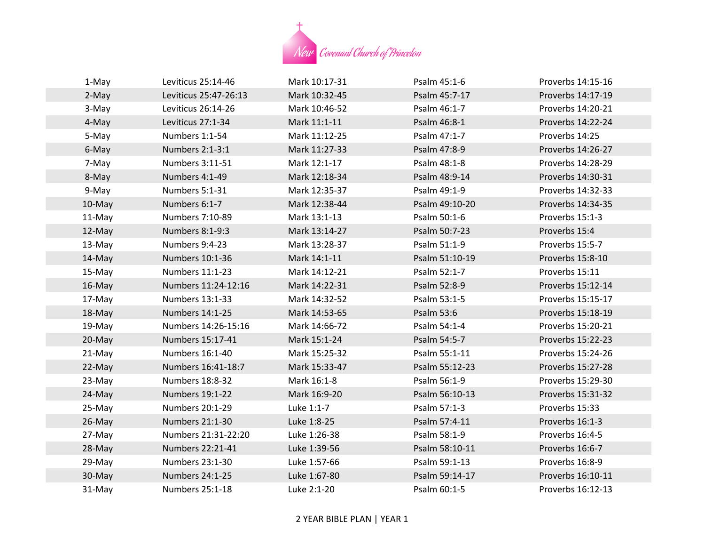

| 1-May     | Leviticus 25:14-46     | Mark 10:17-31 | Psalm 45:1-6   | Proverbs 14:15-16 |
|-----------|------------------------|---------------|----------------|-------------------|
| 2-May     | Leviticus 25:47-26:13  | Mark 10:32-45 | Psalm 45:7-17  | Proverbs 14:17-19 |
| 3-May     | Leviticus 26:14-26     | Mark 10:46-52 | Psalm 46:1-7   | Proverbs 14:20-21 |
| 4-May     | Leviticus 27:1-34      | Mark 11:1-11  | Psalm 46:8-1   | Proverbs 14:22-24 |
| 5-May     | Numbers 1:1-54         | Mark 11:12-25 | Psalm 47:1-7   | Proverbs 14:25    |
| 6-May     | Numbers 2:1-3:1        | Mark 11:27-33 | Psalm 47:8-9   | Proverbs 14:26-27 |
| 7-May     | Numbers 3:11-51        | Mark 12:1-17  | Psalm 48:1-8   | Proverbs 14:28-29 |
| 8-May     | Numbers 4:1-49         | Mark 12:18-34 | Psalm 48:9-14  | Proverbs 14:30-31 |
| 9-May     | Numbers 5:1-31         | Mark 12:35-37 | Psalm 49:1-9   | Proverbs 14:32-33 |
| 10-May    | Numbers 6:1-7          | Mark 12:38-44 | Psalm 49:10-20 | Proverbs 14:34-35 |
| 11-May    | Numbers 7:10-89        | Mark 13:1-13  | Psalm 50:1-6   | Proverbs 15:1-3   |
| 12-May    | Numbers 8:1-9:3        | Mark 13:14-27 | Psalm 50:7-23  | Proverbs 15:4     |
| 13-May    | Numbers 9:4-23         | Mark 13:28-37 | Psalm 51:1-9   | Proverbs 15:5-7   |
| 14-May    | Numbers 10:1-36        | Mark 14:1-11  | Psalm 51:10-19 | Proverbs 15:8-10  |
| 15-May    | Numbers 11:1-23        | Mark 14:12-21 | Psalm 52:1-7   | Proverbs 15:11    |
| 16-May    | Numbers 11:24-12:16    | Mark 14:22-31 | Psalm 52:8-9   | Proverbs 15:12-14 |
| 17-May    | Numbers 13:1-33        | Mark 14:32-52 | Psalm 53:1-5   | Proverbs 15:15-17 |
| 18-May    | Numbers 14:1-25        | Mark 14:53-65 | Psalm 53:6     | Proverbs 15:18-19 |
| 19-May    | Numbers 14:26-15:16    | Mark 14:66-72 | Psalm 54:1-4   | Proverbs 15:20-21 |
| 20-May    | Numbers 15:17-41       | Mark 15:1-24  | Psalm 54:5-7   | Proverbs 15:22-23 |
| 21-May    | Numbers 16:1-40        | Mark 15:25-32 | Psalm 55:1-11  | Proverbs 15:24-26 |
| 22-May    | Numbers 16:41-18:7     | Mark 15:33-47 | Psalm 55:12-23 | Proverbs 15:27-28 |
| 23-May    | Numbers 18:8-32        | Mark 16:1-8   | Psalm 56:1-9   | Proverbs 15:29-30 |
| 24-May    | Numbers 19:1-22        | Mark 16:9-20  | Psalm 56:10-13 | Proverbs 15:31-32 |
| 25-May    | Numbers 20:1-29        | Luke 1:1-7    | Psalm 57:1-3   | Proverbs 15:33    |
| $26$ -May | Numbers 21:1-30        | Luke 1:8-25   | Psalm 57:4-11  | Proverbs 16:1-3   |
| 27-May    | Numbers 21:31-22:20    | Luke 1:26-38  | Psalm 58:1-9   | Proverbs 16:4-5   |
| 28-May    | Numbers 22:21-41       | Luke 1:39-56  | Psalm 58:10-11 | Proverbs 16:6-7   |
| 29-May    | Numbers 23:1-30        | Luke 1:57-66  | Psalm 59:1-13  | Proverbs 16:8-9   |
| 30-May    | <b>Numbers 24:1-25</b> | Luke 1:67-80  | Psalm 59:14-17 | Proverbs 16:10-11 |
| 31-May    | Numbers 25:1-18        | Luke 2:1-20   | Psalm 60:1-5   | Proverbs 16:12-13 |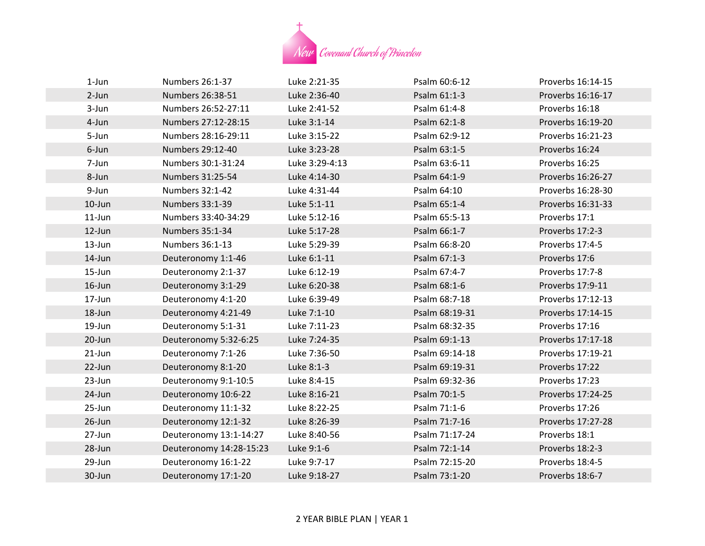

| $1$ -Jun  | Numbers 26:1-37         | Luke 2:21-35   | Psalm 60:6-12  | Proverbs 16:14-15 |
|-----------|-------------------------|----------------|----------------|-------------------|
| $2-Jun$   | Numbers 26:38-51        | Luke 2:36-40   | Psalm 61:1-3   | Proverbs 16:16-17 |
| 3-Jun     | Numbers 26:52-27:11     | Luke 2:41-52   | Psalm 61:4-8   | Proverbs 16:18    |
| 4-Jun     | Numbers 27:12-28:15     | Luke 3:1-14    | Psalm 62:1-8   | Proverbs 16:19-20 |
| 5-Jun     | Numbers 28:16-29:11     | Luke 3:15-22   | Psalm 62:9-12  | Proverbs 16:21-23 |
| 6-Jun     | Numbers 29:12-40        | Luke 3:23-28   | Psalm 63:1-5   | Proverbs 16:24    |
| 7-Jun     | Numbers 30:1-31:24      | Luke 3:29-4:13 | Psalm 63:6-11  | Proverbs 16:25    |
| 8-Jun     | Numbers 31:25-54        | Luke 4:14-30   | Psalm 64:1-9   | Proverbs 16:26-27 |
| 9-Jun     | Numbers 32:1-42         | Luke 4:31-44   | Psalm 64:10    | Proverbs 16:28-30 |
| 10-Jun    | Numbers 33:1-39         | Luke 5:1-11    | Psalm 65:1-4   | Proverbs 16:31-33 |
| $11$ -Jun | Numbers 33:40-34:29     | Luke 5:12-16   | Psalm 65:5-13  | Proverbs 17:1     |
| 12-Jun    | Numbers 35:1-34         | Luke 5:17-28   | Psalm 66:1-7   | Proverbs 17:2-3   |
| 13-Jun    | Numbers 36:1-13         | Luke 5:29-39   | Psalm 66:8-20  | Proverbs 17:4-5   |
| 14-Jun    | Deuteronomy 1:1-46      | Luke 6:1-11    | Psalm 67:1-3   | Proverbs 17:6     |
| 15-Jun    | Deuteronomy 2:1-37      | Luke 6:12-19   | Psalm 67:4-7   | Proverbs 17:7-8   |
| 16-Jun    | Deuteronomy 3:1-29      | Luke 6:20-38   | Psalm 68:1-6   | Proverbs 17:9-11  |
| 17-Jun    | Deuteronomy 4:1-20      | Luke 6:39-49   | Psalm 68:7-18  | Proverbs 17:12-13 |
| 18-Jun    | Deuteronomy 4:21-49     | Luke 7:1-10    | Psalm 68:19-31 | Proverbs 17:14-15 |
| 19-Jun    | Deuteronomy 5:1-31      | Luke 7:11-23   | Psalm 68:32-35 | Proverbs 17:16    |
| 20-Jun    | Deuteronomy 5:32-6:25   | Luke 7:24-35   | Psalm 69:1-13  | Proverbs 17:17-18 |
| $21$ -Jun | Deuteronomy 7:1-26      | Luke 7:36-50   | Psalm 69:14-18 | Proverbs 17:19-21 |
| 22-Jun    | Deuteronomy 8:1-20      | Luke 8:1-3     | Psalm 69:19-31 | Proverbs 17:22    |
| 23-Jun    | Deuteronomy 9:1-10:5    | Luke 8:4-15    | Psalm 69:32-36 | Proverbs 17:23    |
| 24-Jun    | Deuteronomy 10:6-22     | Luke 8:16-21   | Psalm 70:1-5   | Proverbs 17:24-25 |
| 25-Jun    | Deuteronomy 11:1-32     | Luke 8:22-25   | Psalm 71:1-6   | Proverbs 17:26    |
| 26-Jun    | Deuteronomy 12:1-32     | Luke 8:26-39   | Psalm 71:7-16  | Proverbs 17:27-28 |
| 27-Jun    | Deuteronomy 13:1-14:27  | Luke 8:40-56   | Psalm 71:17-24 | Proverbs 18:1     |
| 28-Jun    | Deuteronomy 14:28-15:23 | Luke 9:1-6     | Psalm 72:1-14  | Proverbs 18:2-3   |
| 29-Jun    | Deuteronomy 16:1-22     | Luke 9:7-17    | Psalm 72:15-20 | Proverbs 18:4-5   |
| 30-Jun    | Deuteronomy 17:1-20     | Luke 9:18-27   | Psalm 73:1-20  | Proverbs 18:6-7   |
|           |                         |                |                |                   |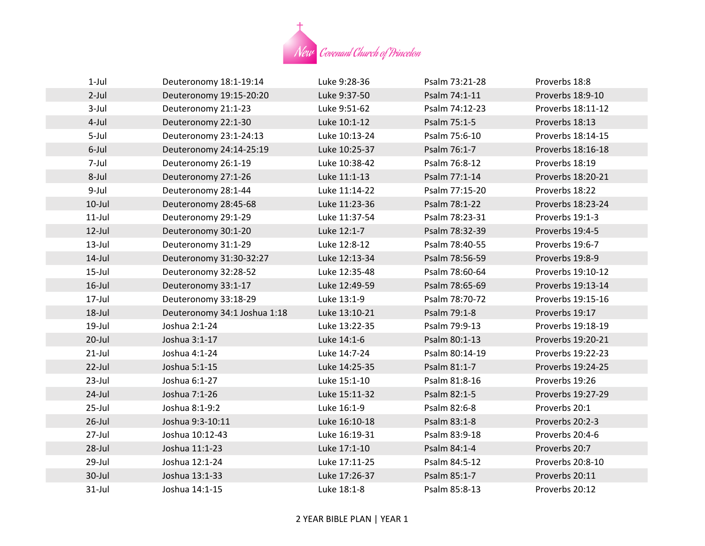

| $1-Jul$   | Deuteronomy 18:1-19:14       | Luke 9:28-36  | Psalm 73:21-28 | Proverbs 18:8     |
|-----------|------------------------------|---------------|----------------|-------------------|
| $2$ -Jul  | Deuteronomy 19:15-20:20      | Luke 9:37-50  | Psalm 74:1-11  | Proverbs 18:9-10  |
| $3$ -Jul  | Deuteronomy 21:1-23          | Luke 9:51-62  | Psalm 74:12-23 | Proverbs 18:11-12 |
| 4-Jul     | Deuteronomy 22:1-30          | Luke 10:1-12  | Psalm 75:1-5   | Proverbs 18:13    |
| 5-Jul     | Deuteronomy 23:1-24:13       | Luke 10:13-24 | Psalm 75:6-10  | Proverbs 18:14-15 |
| 6-Jul     | Deuteronomy 24:14-25:19      | Luke 10:25-37 | Psalm 76:1-7   | Proverbs 18:16-18 |
| 7-Jul     | Deuteronomy 26:1-19          | Luke 10:38-42 | Psalm 76:8-12  | Proverbs 18:19    |
| 8-Jul     | Deuteronomy 27:1-26          | Luke 11:1-13  | Psalm 77:1-14  | Proverbs 18:20-21 |
| 9-Jul     | Deuteronomy 28:1-44          | Luke 11:14-22 | Psalm 77:15-20 | Proverbs 18:22    |
| $10$ -Jul | Deuteronomy 28:45-68         | Luke 11:23-36 | Psalm 78:1-22  | Proverbs 18:23-24 |
| $11$ -Jul | Deuteronomy 29:1-29          | Luke 11:37-54 | Psalm 78:23-31 | Proverbs 19:1-3   |
| $12$ -Jul | Deuteronomy 30:1-20          | Luke 12:1-7   | Psalm 78:32-39 | Proverbs 19:4-5   |
| $13$ -Jul | Deuteronomy 31:1-29          | Luke 12:8-12  | Psalm 78:40-55 | Proverbs 19:6-7   |
| $14$ -Jul | Deuteronomy 31:30-32:27      | Luke 12:13-34 | Psalm 78:56-59 | Proverbs 19:8-9   |
| $15$ -Jul | Deuteronomy 32:28-52         | Luke 12:35-48 | Psalm 78:60-64 | Proverbs 19:10-12 |
| $16$ -Jul | Deuteronomy 33:1-17          | Luke 12:49-59 | Psalm 78:65-69 | Proverbs 19:13-14 |
| 17-Jul    | Deuteronomy 33:18-29         | Luke 13:1-9   | Psalm 78:70-72 | Proverbs 19:15-16 |
| 18-Jul    | Deuteronomy 34:1 Joshua 1:18 | Luke 13:10-21 | Psalm 79:1-8   | Proverbs 19:17    |
| 19-Jul    | Joshua 2:1-24                | Luke 13:22-35 | Psalm 79:9-13  | Proverbs 19:18-19 |
| $20$ -Jul | Joshua 3:1-17                | Luke 14:1-6   | Psalm 80:1-13  | Proverbs 19:20-21 |
| $21$ -Jul | Joshua 4:1-24                | Luke 14:7-24  | Psalm 80:14-19 | Proverbs 19:22-23 |
| $22$ -Jul | Joshua 5:1-15                | Luke 14:25-35 | Psalm 81:1-7   | Proverbs 19:24-25 |
| $23$ -Jul | Joshua 6:1-27                | Luke 15:1-10  | Psalm 81:8-16  | Proverbs 19:26    |
| $24$ -Jul | Joshua 7:1-26                | Luke 15:11-32 | Psalm 82:1-5   | Proverbs 19:27-29 |
| $25$ -Jul | Joshua 8:1-9:2               | Luke 16:1-9   | Psalm 82:6-8   | Proverbs 20:1     |
| $26$ -Jul | Joshua 9:3-10:11             | Luke 16:10-18 | Psalm 83:1-8   | Proverbs 20:2-3   |
| $27$ -Jul | Joshua 10:12-43              | Luke 16:19-31 | Psalm 83:9-18  | Proverbs 20:4-6   |
| 28-Jul    | Joshua 11:1-23               | Luke 17:1-10  | Psalm 84:1-4   | Proverbs 20:7     |
| 29-Jul    | Joshua 12:1-24               | Luke 17:11-25 | Psalm 84:5-12  | Proverbs 20:8-10  |
| 30-Jul    | Joshua 13:1-33               | Luke 17:26-37 | Psalm 85:1-7   | Proverbs 20:11    |
| $31$ -Jul | Joshua 14:1-15               | Luke 18:1-8   | Psalm 85:8-13  | Proverbs 20:12    |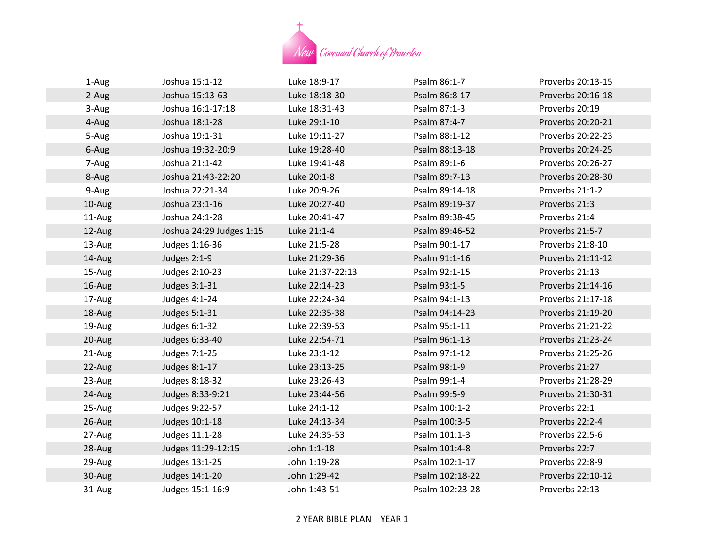

| 1-Aug  | Joshua 15:1-12           | Luke 18:9-17     | Psalm 86:1-7    | Proverbs 20:13-15 |
|--------|--------------------------|------------------|-----------------|-------------------|
| 2-Aug  | Joshua 15:13-63          | Luke 18:18-30    | Psalm 86:8-17   | Proverbs 20:16-18 |
| 3-Aug  | Joshua 16:1-17:18        | Luke 18:31-43    | Psalm 87:1-3    | Proverbs 20:19    |
| 4-Aug  | Joshua 18:1-28           | Luke 29:1-10     | Psalm 87:4-7    | Proverbs 20:20-21 |
| 5-Aug  | Joshua 19:1-31           | Luke 19:11-27    | Psalm 88:1-12   | Proverbs 20:22-23 |
| 6-Aug  | Joshua 19:32-20:9        | Luke 19:28-40    | Psalm 88:13-18  | Proverbs 20:24-25 |
| 7-Aug  | Joshua 21:1-42           | Luke 19:41-48    | Psalm 89:1-6    | Proverbs 20:26-27 |
| 8-Aug  | Joshua 21:43-22:20       | Luke 20:1-8      | Psalm 89:7-13   | Proverbs 20:28-30 |
| 9-Aug  | Joshua 22:21-34          | Luke 20:9-26     | Psalm 89:14-18  | Proverbs 21:1-2   |
| 10-Aug | Joshua 23:1-16           | Luke 20:27-40    | Psalm 89:19-37  | Proverbs 21:3     |
| 11-Aug | Joshua 24:1-28           | Luke 20:41-47    | Psalm 89:38-45  | Proverbs 21:4     |
| 12-Aug | Joshua 24:29 Judges 1:15 | Luke 21:1-4      | Psalm 89:46-52  | Proverbs 21:5-7   |
| 13-Aug | Judges 1:16-36           | Luke 21:5-28     | Psalm 90:1-17   | Proverbs 21:8-10  |
| 14-Aug | Judges 2:1-9             | Luke 21:29-36    | Psalm 91:1-16   | Proverbs 21:11-12 |
| 15-Aug | Judges 2:10-23           | Luke 21:37-22:13 | Psalm 92:1-15   | Proverbs 21:13    |
| 16-Aug | Judges 3:1-31            | Luke 22:14-23    | Psalm 93:1-5    | Proverbs 21:14-16 |
| 17-Aug | Judges 4:1-24            | Luke 22:24-34    | Psalm 94:1-13   | Proverbs 21:17-18 |
| 18-Aug | Judges 5:1-31            | Luke 22:35-38    | Psalm 94:14-23  | Proverbs 21:19-20 |
| 19-Aug | Judges 6:1-32            | Luke 22:39-53    | Psalm 95:1-11   | Proverbs 21:21-22 |
| 20-Aug | Judges 6:33-40           | Luke 22:54-71    | Psalm 96:1-13   | Proverbs 21:23-24 |
| 21-Aug | Judges 7:1-25            | Luke 23:1-12     | Psalm 97:1-12   | Proverbs 21:25-26 |
| 22-Aug | Judges 8:1-17            | Luke 23:13-25    | Psalm 98:1-9    | Proverbs 21:27    |
| 23-Aug | Judges 8:18-32           | Luke 23:26-43    | Psalm 99:1-4    | Proverbs 21:28-29 |
| 24-Aug | Judges 8:33-9:21         | Luke 23:44-56    | Psalm 99:5-9    | Proverbs 21:30-31 |
| 25-Aug | Judges 9:22-57           | Luke 24:1-12     | Psalm 100:1-2   | Proverbs 22:1     |
| 26-Aug | Judges 10:1-18           | Luke 24:13-34    | Psalm 100:3-5   | Proverbs 22:2-4   |
| 27-Aug | Judges 11:1-28           | Luke 24:35-53    | Psalm 101:1-3   | Proverbs 22:5-6   |
| 28-Aug | Judges 11:29-12:15       | John 1:1-18      | Psalm 101:4-8   | Proverbs 22:7     |
| 29-Aug | Judges 13:1-25           | John 1:19-28     | Psalm 102:1-17  | Proverbs 22:8-9   |
| 30-Aug | Judges 14:1-20           | John 1:29-42     | Psalm 102:18-22 | Proverbs 22:10-12 |
| 31-Aug | Judges 15:1-16:9         | John 1:43-51     | Psalm 102:23-28 | Proverbs 22:13    |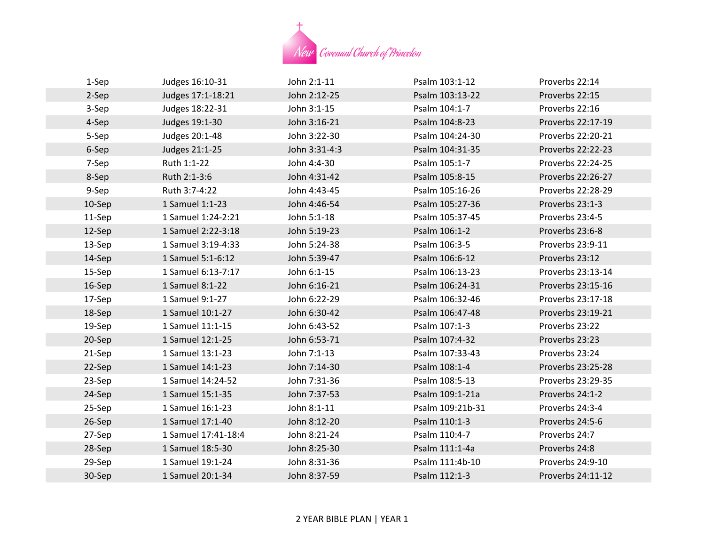

| 1-Sep  | Judges 16:10-31     | John 2:1-11   | Psalm 103:1-12   | Proverbs 22:14    |
|--------|---------------------|---------------|------------------|-------------------|
| 2-Sep  | Judges 17:1-18:21   | John 2:12-25  | Psalm 103:13-22  | Proverbs 22:15    |
| 3-Sep  | Judges 18:22-31     | John 3:1-15   | Psalm 104:1-7    | Proverbs 22:16    |
| 4-Sep  | Judges 19:1-30      | John 3:16-21  | Psalm 104:8-23   | Proverbs 22:17-19 |
| 5-Sep  | Judges 20:1-48      | John 3:22-30  | Psalm 104:24-30  | Proverbs 22:20-21 |
| 6-Sep  | Judges 21:1-25      | John 3:31-4:3 | Psalm 104:31-35  | Proverbs 22:22-23 |
| 7-Sep  | Ruth 1:1-22         | John 4:4-30   | Psalm 105:1-7    | Proverbs 22:24-25 |
| 8-Sep  | Ruth 2:1-3:6        | John 4:31-42  | Psalm 105:8-15   | Proverbs 22:26-27 |
| 9-Sep  | Ruth 3:7-4:22       | John 4:43-45  | Psalm 105:16-26  | Proverbs 22:28-29 |
| 10-Sep | 1 Samuel 1:1-23     | John 4:46-54  | Psalm 105:27-36  | Proverbs 23:1-3   |
| 11-Sep | 1 Samuel 1:24-2:21  | John 5:1-18   | Psalm 105:37-45  | Proverbs 23:4-5   |
| 12-Sep | 1 Samuel 2:22-3:18  | John 5:19-23  | Psalm 106:1-2    | Proverbs 23:6-8   |
| 13-Sep | 1 Samuel 3:19-4:33  | John 5:24-38  | Psalm 106:3-5    | Proverbs 23:9-11  |
| 14-Sep | 1 Samuel 5:1-6:12   | John 5:39-47  | Psalm 106:6-12   | Proverbs 23:12    |
| 15-Sep | 1 Samuel 6:13-7:17  | John 6:1-15   | Psalm 106:13-23  | Proverbs 23:13-14 |
| 16-Sep | 1 Samuel 8:1-22     | John 6:16-21  | Psalm 106:24-31  | Proverbs 23:15-16 |
| 17-Sep | 1 Samuel 9:1-27     | John 6:22-29  | Psalm 106:32-46  | Proverbs 23:17-18 |
| 18-Sep | 1 Samuel 10:1-27    | John 6:30-42  | Psalm 106:47-48  | Proverbs 23:19-21 |
| 19-Sep | 1 Samuel 11:1-15    | John 6:43-52  | Psalm 107:1-3    | Proverbs 23:22    |
| 20-Sep | 1 Samuel 12:1-25    | John 6:53-71  | Psalm 107:4-32   | Proverbs 23:23    |
| 21-Sep | 1 Samuel 13:1-23    | John 7:1-13   | Psalm 107:33-43  | Proverbs 23:24    |
| 22-Sep | 1 Samuel 14:1-23    | John 7:14-30  | Psalm 108:1-4    | Proverbs 23:25-28 |
| 23-Sep | 1 Samuel 14:24-52   | John 7:31-36  | Psalm 108:5-13   | Proverbs 23:29-35 |
| 24-Sep | 1 Samuel 15:1-35    | John 7:37-53  | Psalm 109:1-21a  | Proverbs 24:1-2   |
| 25-Sep | 1 Samuel 16:1-23    | John 8:1-11   | Psalm 109:21b-31 | Proverbs 24:3-4   |
| 26-Sep | 1 Samuel 17:1-40    | John 8:12-20  | Psalm 110:1-3    | Proverbs 24:5-6   |
| 27-Sep | 1 Samuel 17:41-18:4 | John 8:21-24  | Psalm 110:4-7    | Proverbs 24:7     |
| 28-Sep | 1 Samuel 18:5-30    | John 8:25-30  | Psalm 111:1-4a   | Proverbs 24:8     |
| 29-Sep | 1 Samuel 19:1-24    | John 8:31-36  | Psalm 111:4b-10  | Proverbs 24:9-10  |
| 30-Sep | 1 Samuel 20:1-34    | John 8:37-59  | Psalm 112:1-3    | Proverbs 24:11-12 |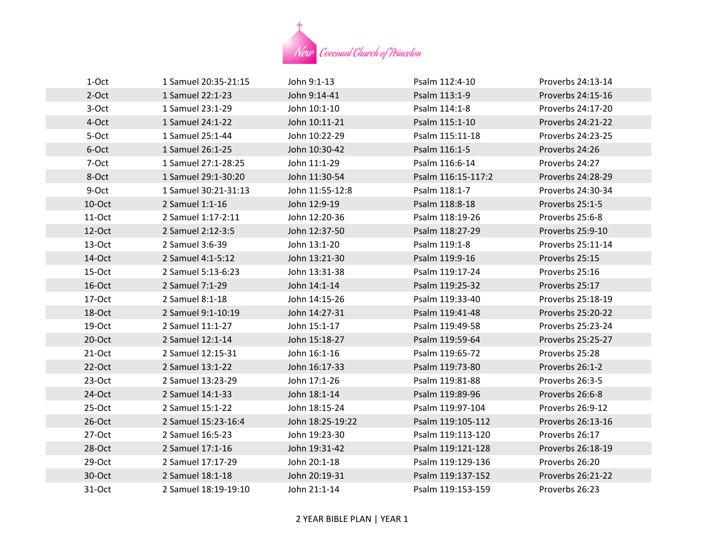

| 1-Oct     | 1 Samuel 20:35-21:15 | John 9:1-13      | Psalm 112:4-10     | Proverbs 24:13-14 |
|-----------|----------------------|------------------|--------------------|-------------------|
| 2-Oct     | 1 Samuel 22:1-23     | John 9:14-41     | Psalm 113:1-9      | Proverbs 24:15-16 |
| 3-Oct     | 1 Samuel 23:1-29     | John 10:1-10     | Psalm 114:1-8      | Proverbs 24:17-20 |
| 4-Oct     | 1 Samuel 24:1-22     | John 10:11-21    | Psalm 115:1-10     | Proverbs 24:21-22 |
| 5-Oct     | 1 Samuel 25:1-44     | John 10:22-29    | Psalm 115:11-18    | Proverbs 24:23-25 |
| 6-Oct     | 1 Samuel 26:1-25     | John 10:30-42    | Psalm 116:1-5      | Proverbs 24:26    |
| 7-Oct     | 1 Samuel 27:1-28:25  | John 11:1-29     | Psalm 116:6-14     | Proverbs 24:27    |
| 8-Oct     | 1 Samuel 29:1-30:20  | John 11:30-54    | Psalm 116:15-117:2 | Proverbs 24:28-29 |
| 9-Oct     | 1 Samuel 30:21-31:13 | John 11:55-12:8  | Psalm 118:1-7      | Proverbs 24:30-34 |
| 10-Oct    | 2 Samuel 1:1-16      | John 12:9-19     | Psalm 118:8-18     | Proverbs 25:1-5   |
| $11-Oct$  | 2 Samuel 1:17-2:11   | John 12:20-36    | Psalm 118:19-26    | Proverbs 25:6-8   |
| 12-Oct    | 2 Samuel 2:12-3:5    | John 12:37-50    | Psalm 118:27-29    | Proverbs 25:9-10  |
| $13-Oct$  | 2 Samuel 3:6-39      | John 13:1-20     | Psalm 119:1-8      | Proverbs 25:11-14 |
| 14-Oct    | 2 Samuel 4:1-5:12    | John 13:21-30    | Psalm 119:9-16     | Proverbs 25:15    |
| $15-Oct$  | 2 Samuel 5:13-6:23   | John 13:31-38    | Psalm 119:17-24    | Proverbs 25:16    |
| 16-Oct    | 2 Samuel 7:1-29      | John 14:1-14     | Psalm 119:25-32    | Proverbs 25:17    |
| 17-Oct    | 2 Samuel 8:1-18      | John 14:15-26    | Psalm 119:33-40    | Proverbs 25:18-19 |
| 18-Oct    | 2 Samuel 9:1-10:19   | John 14:27-31    | Psalm 119:41-48    | Proverbs 25:20-22 |
| 19-Oct    | 2 Samuel 11:1-27     | John 15:1-17     | Psalm 119:49-58    | Proverbs 25:23-24 |
| $20$ -Oct | 2 Samuel 12:1-14     | John 15:18-27    | Psalm 119:59-64    | Proverbs 25:25-27 |
| $21-Oct$  | 2 Samuel 12:15-31    | John 16:1-16     | Psalm 119:65-72    | Proverbs 25:28    |
| $22-Oct$  | 2 Samuel 13:1-22     | John 16:17-33    | Psalm 119:73-80    | Proverbs 26:1-2   |
| $23-Oct$  | 2 Samuel 13:23-29    | John 17:1-26     | Psalm 119:81-88    | Proverbs 26:3-5   |
| 24-Oct    | 2 Samuel 14:1-33     | John 18:1-14     | Psalm 119:89-96    | Proverbs 26:6-8   |
| 25-Oct    | 2 Samuel 15:1-22     | John 18:15-24    | Psalm 119:97-104   | Proverbs 26:9-12  |
| $26-Oct$  | 2 Samuel 15:23-16:4  | John 18:25-19:22 | Psalm 119:105-112  | Proverbs 26:13-16 |
| 27-Oct    | 2 Samuel 16:5-23     | John 19:23-30    | Psalm 119:113-120  | Proverbs 26:17    |
| $28-Oct$  | 2 Samuel 17:1-16     | John 19:31-42    | Psalm 119:121-128  | Proverbs 26:18-19 |
| $29-Oct$  | 2 Samuel 17:17-29    | John 20:1-18     | Psalm 119:129-136  | Proverbs 26:20    |
| 30-Oct    | 2 Samuel 18:1-18     | John 20:19-31    | Psalm 119:137-152  | Proverbs 26:21-22 |
| 31-Oct    | 2 Samuel 18:19-19:10 | John 21:1-14     | Psalm 119:153-159  | Proverbs 26:23    |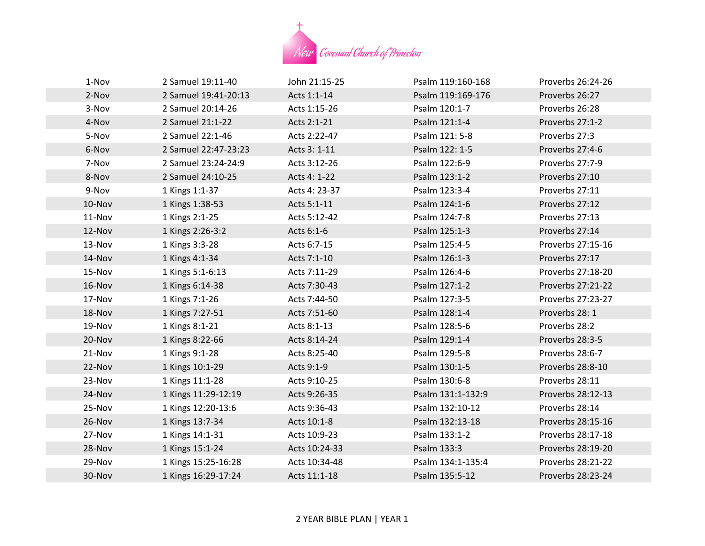

| 1-Nov  | 2 Samuel 19:11-40    | John 21:15-25 | Psalm 119:160-168 | Proverbs 26:24-26 |
|--------|----------------------|---------------|-------------------|-------------------|
| 2-Nov  | 2 Samuel 19:41-20:13 | Acts 1:1-14   | Psalm 119:169-176 | Proverbs 26:27    |
| 3-Nov  | 2 Samuel 20:14-26    | Acts 1:15-26  | Psalm 120:1-7     | Proverbs 26:28    |
| 4-Nov  | 2 Samuel 21:1-22     | Acts 2:1-21   | Psalm 121:1-4     | Proverbs 27:1-2   |
| 5-Nov  | 2 Samuel 22:1-46     | Acts 2:22-47  | Psalm 121: 5-8    | Proverbs 27:3     |
| 6-Nov  | 2 Samuel 22:47-23:23 | Acts 3: 1-11  | Psalm 122: 1-5    | Proverbs 27:4-6   |
| 7-Nov  | 2 Samuel 23:24-24:9  | Acts 3:12-26  | Psalm 122:6-9     | Proverbs 27:7-9   |
| 8-Nov  | 2 Samuel 24:10-25    | Acts 4: 1-22  | Psalm 123:1-2     | Proverbs 27:10    |
| 9-Nov  | 1 Kings 1:1-37       | Acts 4: 23-37 | Psalm 123:3-4     | Proverbs 27:11    |
| 10-Nov | 1 Kings 1:38-53      | Acts 5:1-11   | Psalm 124:1-6     | Proverbs 27:12    |
| 11-Nov | 1 Kings 2:1-25       | Acts 5:12-42  | Psalm 124:7-8     | Proverbs 27:13    |
| 12-Nov | 1 Kings 2:26-3:2     | Acts 6:1-6    | Psalm 125:1-3     | Proverbs 27:14    |
| 13-Nov | 1 Kings 3:3-28       | Acts 6:7-15   | Psalm 125:4-5     | Proverbs 27:15-16 |
| 14-Nov | 1 Kings 4:1-34       | Acts 7:1-10   | Psalm 126:1-3     | Proverbs 27:17    |
| 15-Nov | 1 Kings 5:1-6:13     | Acts 7:11-29  | Psalm 126:4-6     | Proverbs 27:18-20 |
| 16-Nov | 1 Kings 6:14-38      | Acts 7:30-43  | Psalm 127:1-2     | Proverbs 27:21-22 |
| 17-Nov | 1 Kings 7:1-26       | Acts 7:44-50  | Psalm 127:3-5     | Proverbs 27:23-27 |
| 18-Nov | 1 Kings 7:27-51      | Acts 7:51-60  | Psalm 128:1-4     | Proverbs 28: 1    |
| 19-Nov | 1 Kings 8:1-21       | Acts 8:1-13   | Psalm 128:5-6     | Proverbs 28:2     |
| 20-Nov | 1 Kings 8:22-66      | Acts 8:14-24  | Psalm 129:1-4     | Proverbs 28:3-5   |
| 21-Nov | 1 Kings 9:1-28       | Acts 8:25-40  | Psalm 129:5-8     | Proverbs 28:6-7   |
| 22-Nov | 1 Kings 10:1-29      | Acts 9:1-9    | Psalm 130:1-5     | Proverbs 28:8-10  |
| 23-Nov | 1 Kings 11:1-28      | Acts 9:10-25  | Psalm 130:6-8     | Proverbs 28:11    |
| 24-Nov | 1 Kings 11:29-12:19  | Acts 9:26-35  | Psalm 131:1-132:9 | Proverbs 28:12-13 |
| 25-Nov | 1 Kings 12:20-13:6   | Acts 9:36-43  | Psalm 132:10-12   | Proverbs 28:14    |
| 26-Nov | 1 Kings 13:7-34      | Acts 10:1-8   | Psalm 132:13-18   | Proverbs 28:15-16 |
| 27-Nov | 1 Kings 14:1-31      | Acts 10:9-23  | Psalm 133:1-2     | Proverbs 28:17-18 |
| 28-Nov | 1 Kings 15:1-24      | Acts 10:24-33 | Psalm 133:3       | Proverbs 28:19-20 |
| 29-Nov | 1 Kings 15:25-16:28  | Acts 10:34-48 | Psalm 134:1-135:4 | Proverbs 28:21-22 |
| 30-Nov | 1 Kings 16:29-17:24  | Acts 11:1-18  | Psalm 135:5-12    | Proverbs 28:23-24 |
|        |                      |               |                   |                   |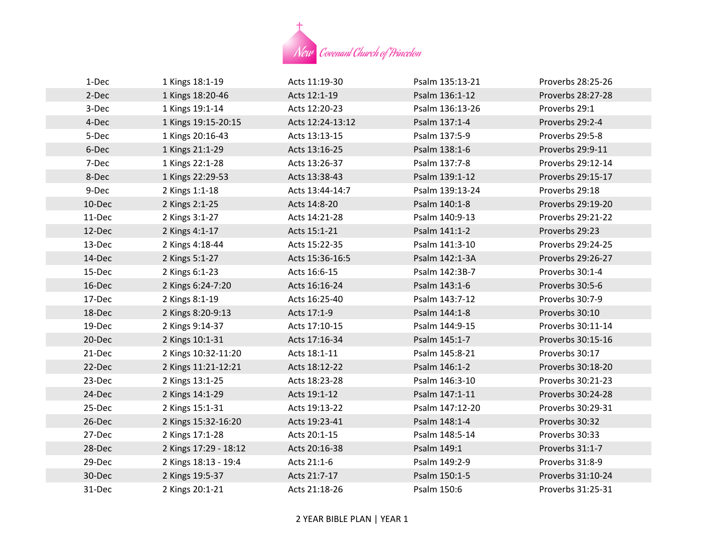

| 1-Dec  | 1 Kings 18:1-19       | Acts 11:19-30    | Psalm 135:13-21 | Proverbs 28:25-26 |
|--------|-----------------------|------------------|-----------------|-------------------|
| 2-Dec  | 1 Kings 18:20-46      | Acts 12:1-19     | Psalm 136:1-12  | Proverbs 28:27-28 |
| 3-Dec  | 1 Kings 19:1-14       | Acts 12:20-23    | Psalm 136:13-26 | Proverbs 29:1     |
| 4-Dec  | 1 Kings 19:15-20:15   | Acts 12:24-13:12 | Psalm 137:1-4   | Proverbs 29:2-4   |
| 5-Dec  | 1 Kings 20:16-43      | Acts 13:13-15    | Psalm 137:5-9   | Proverbs 29:5-8   |
| 6-Dec  | 1 Kings 21:1-29       | Acts 13:16-25    | Psalm 138:1-6   | Proverbs 29:9-11  |
| 7-Dec  | 1 Kings 22:1-28       | Acts 13:26-37    | Psalm 137:7-8   | Proverbs 29:12-14 |
| 8-Dec  | 1 Kings 22:29-53      | Acts 13:38-43    | Psalm 139:1-12  | Proverbs 29:15-17 |
| 9-Dec  | 2 Kings 1:1-18        | Acts 13:44-14:7  | Psalm 139:13-24 | Proverbs 29:18    |
| 10-Dec | 2 Kings 2:1-25        | Acts 14:8-20     | Psalm 140:1-8   | Proverbs 29:19-20 |
| 11-Dec | 2 Kings 3:1-27        | Acts 14:21-28    | Psalm 140:9-13  | Proverbs 29:21-22 |
| 12-Dec | 2 Kings 4:1-17        | Acts 15:1-21     | Psalm 141:1-2   | Proverbs 29:23    |
| 13-Dec | 2 Kings 4:18-44       | Acts 15:22-35    | Psalm 141:3-10  | Proverbs 29:24-25 |
| 14-Dec | 2 Kings 5:1-27        | Acts 15:36-16:5  | Psalm 142:1-3A  | Proverbs 29:26-27 |
| 15-Dec | 2 Kings 6:1-23        | Acts 16:6-15     | Psalm 142:3B-7  | Proverbs 30:1-4   |
| 16-Dec | 2 Kings 6:24-7:20     | Acts 16:16-24    | Psalm 143:1-6   | Proverbs 30:5-6   |
| 17-Dec | 2 Kings 8:1-19        | Acts 16:25-40    | Psalm 143:7-12  | Proverbs 30:7-9   |
| 18-Dec | 2 Kings 8:20-9:13     | Acts 17:1-9      | Psalm 144:1-8   | Proverbs 30:10    |
| 19-Dec | 2 Kings 9:14-37       | Acts 17:10-15    | Psalm 144:9-15  | Proverbs 30:11-14 |
| 20-Dec | 2 Kings 10:1-31       | Acts 17:16-34    | Psalm 145:1-7   | Proverbs 30:15-16 |
| 21-Dec | 2 Kings 10:32-11:20   | Acts 18:1-11     | Psalm 145:8-21  | Proverbs 30:17    |
| 22-Dec | 2 Kings 11:21-12:21   | Acts 18:12-22    | Psalm 146:1-2   | Proverbs 30:18-20 |
| 23-Dec | 2 Kings 13:1-25       | Acts 18:23-28    | Psalm 146:3-10  | Proverbs 30:21-23 |
| 24-Dec | 2 Kings 14:1-29       | Acts 19:1-12     | Psalm 147:1-11  | Proverbs 30:24-28 |
| 25-Dec | 2 Kings 15:1-31       | Acts 19:13-22    | Psalm 147:12-20 | Proverbs 30:29-31 |
| 26-Dec | 2 Kings 15:32-16:20   | Acts 19:23-41    | Psalm 148:1-4   | Proverbs 30:32    |
| 27-Dec | 2 Kings 17:1-28       | Acts 20:1-15     | Psalm 148:5-14  | Proverbs 30:33    |
| 28-Dec | 2 Kings 17:29 - 18:12 | Acts 20:16-38    | Psalm 149:1     | Proverbs 31:1-7   |
| 29-Dec | 2 Kings 18:13 - 19:4  | Acts 21:1-6      | Psalm 149:2-9   | Proverbs 31:8-9   |
| 30-Dec | 2 Kings 19:5-37       | Acts 21:7-17     | Psalm 150:1-5   | Proverbs 31:10-24 |
| 31-Dec | 2 Kings 20:1-21       | Acts 21:18-26    | Psalm 150:6     | Proverbs 31:25-31 |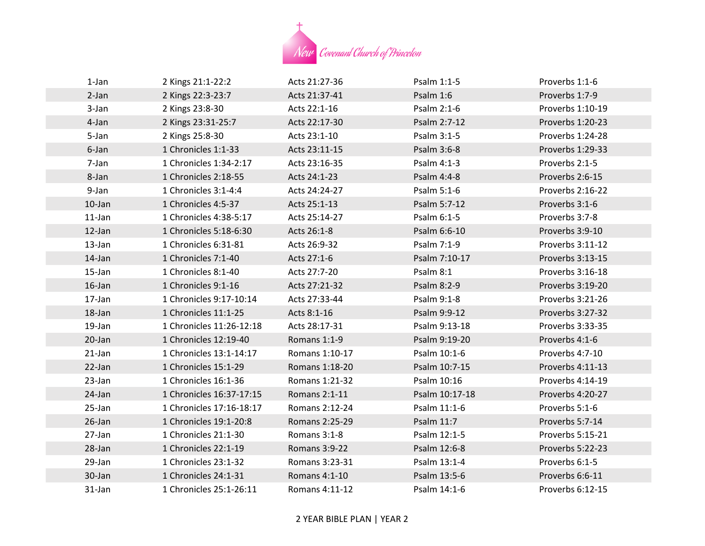

| $1$ -Jan  | 2 Kings 21:1-22:2        | Acts 21:27-36  | Psalm 1:1-5    | Proverbs 1:1-6   |
|-----------|--------------------------|----------------|----------------|------------------|
| 2-Jan     | 2 Kings 22:3-23:7        | Acts 21:37-41  | Psalm 1:6      | Proverbs 1:7-9   |
| 3-Jan     | 2 Kings 23:8-30          | Acts 22:1-16   | Psalm 2:1-6    | Proverbs 1:10-19 |
| 4-Jan     | 2 Kings 23:31-25:7       | Acts 22:17-30  | Psalm 2:7-12   | Proverbs 1:20-23 |
| 5-Jan     | 2 Kings 25:8-30          | Acts 23:1-10   | Psalm 3:1-5    | Proverbs 1:24-28 |
| 6-Jan     | 1 Chronicles 1:1-33      | Acts 23:11-15  | Psalm 3:6-8    | Proverbs 1:29-33 |
| 7-Jan     | 1 Chronicles 1:34-2:17   | Acts 23:16-35  | Psalm 4:1-3    | Proverbs 2:1-5   |
| 8-Jan     | 1 Chronicles 2:18-55     | Acts 24:1-23   | Psalm 4:4-8    | Proverbs 2:6-15  |
| 9-Jan     | 1 Chronicles 3:1-4:4     | Acts 24:24-27  | Psalm 5:1-6    | Proverbs 2:16-22 |
| $10$ -Jan | 1 Chronicles 4:5-37      | Acts 25:1-13   | Psalm 5:7-12   | Proverbs 3:1-6   |
| $11$ -Jan | 1 Chronicles 4:38-5:17   | Acts 25:14-27  | Psalm 6:1-5    | Proverbs 3:7-8   |
| $12$ -Jan | 1 Chronicles 5:18-6:30   | Acts 26:1-8    | Psalm 6:6-10   | Proverbs 3:9-10  |
| 13-Jan    | 1 Chronicles 6:31-81     | Acts 26:9-32   | Psalm 7:1-9    | Proverbs 3:11-12 |
| $14$ -Jan | 1 Chronicles 7:1-40      | Acts 27:1-6    | Psalm 7:10-17  | Proverbs 3:13-15 |
| 15-Jan    | 1 Chronicles 8:1-40      | Acts 27:7-20   | Psalm 8:1      | Proverbs 3:16-18 |
| $16$ -Jan | 1 Chronicles 9:1-16      | Acts 27:21-32  | Psalm 8:2-9    | Proverbs 3:19-20 |
| 17-Jan    | 1 Chronicles 9:17-10:14  | Acts 27:33-44  | Psalm 9:1-8    | Proverbs 3:21-26 |
| 18-Jan    | 1 Chronicles 11:1-25     | Acts 8:1-16    | Psalm 9:9-12   | Proverbs 3:27-32 |
| 19-Jan    | 1 Chronicles 11:26-12:18 | Acts 28:17-31  | Psalm 9:13-18  | Proverbs 3:33-35 |
| 20-Jan    | 1 Chronicles 12:19-40    | Romans 1:1-9   | Psalm 9:19-20  | Proverbs 4:1-6   |
| $21$ -Jan | 1 Chronicles 13:1-14:17  | Romans 1:10-17 | Psalm 10:1-6   | Proverbs 4:7-10  |
| 22-Jan    | 1 Chronicles 15:1-29     | Romans 1:18-20 | Psalm 10:7-15  | Proverbs 4:11-13 |
| 23-Jan    | 1 Chronicles 16:1-36     | Romans 1:21-32 | Psalm 10:16    | Proverbs 4:14-19 |
| 24-Jan    | 1 Chronicles 16:37-17:15 | Romans 2:1-11  | Psalm 10:17-18 | Proverbs 4:20-27 |
| 25-Jan    | 1 Chronicles 17:16-18:17 | Romans 2:12-24 | Psalm 11:1-6   | Proverbs 5:1-6   |
| $26$ -Jan | 1 Chronicles 19:1-20:8   | Romans 2:25-29 | Psalm 11:7     | Proverbs 5:7-14  |
| 27-Jan    | 1 Chronicles 21:1-30     | Romans 3:1-8   | Psalm 12:1-5   | Proverbs 5:15-21 |
| 28-Jan    | 1 Chronicles 22:1-19     | Romans 3:9-22  | Psalm 12:6-8   | Proverbs 5:22-23 |
| 29-Jan    | 1 Chronicles 23:1-32     | Romans 3:23-31 | Psalm 13:1-4   | Proverbs 6:1-5   |
| 30-Jan    | 1 Chronicles 24:1-31     | Romans 4:1-10  | Psalm 13:5-6   | Proverbs 6:6-11  |
| $31$ -Jan | 1 Chronicles 25:1-26:11  | Romans 4:11-12 | Psalm 14:1-6   | Proverbs 6:12-15 |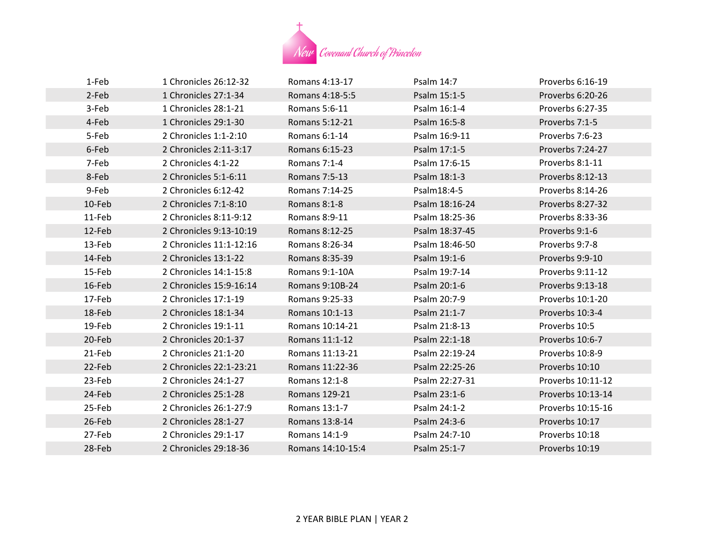

| 1-Feb  | 1 Chronicles 26:12-32   | Romans 4:13-17    | Psalm 14:7     | Proverbs 6:16-19  |
|--------|-------------------------|-------------------|----------------|-------------------|
| 2-Feb  | 1 Chronicles 27:1-34    | Romans 4:18-5:5   | Psalm 15:1-5   | Proverbs 6:20-26  |
| 3-Feb  | 1 Chronicles 28:1-21    | Romans 5:6-11     | Psalm 16:1-4   | Proverbs 6:27-35  |
| 4-Feb  | 1 Chronicles 29:1-30    | Romans 5:12-21    | Psalm 16:5-8   | Proverbs 7:1-5    |
| 5-Feb  | 2 Chronicles 1:1-2:10   | Romans 6:1-14     | Psalm 16:9-11  | Proverbs 7:6-23   |
| 6-Feb  | 2 Chronicles 2:11-3:17  | Romans 6:15-23    | Psalm 17:1-5   | Proverbs 7:24-27  |
| 7-Feb  | 2 Chronicles 4:1-22     | Romans 7:1-4      | Psalm 17:6-15  | Proverbs 8:1-11   |
| 8-Feb  | 2 Chronicles 5:1-6:11   | Romans 7:5-13     | Psalm 18:1-3   | Proverbs 8:12-13  |
| 9-Feb  | 2 Chronicles 6:12-42    | Romans 7:14-25    | Psalm18:4-5    | Proverbs 8:14-26  |
| 10-Feb | 2 Chronicles 7:1-8:10   | Romans 8:1-8      | Psalm 18:16-24 | Proverbs 8:27-32  |
| 11-Feb | 2 Chronicles 8:11-9:12  | Romans 8:9-11     | Psalm 18:25-36 | Proverbs 8:33-36  |
| 12-Feb | 2 Chronicles 9:13-10:19 | Romans 8:12-25    | Psalm 18:37-45 | Proverbs 9:1-6    |
| 13-Feb | 2 Chronicles 11:1-12:16 | Romans 8:26-34    | Psalm 18:46-50 | Proverbs 9:7-8    |
| 14-Feb | 2 Chronicles 13:1-22    | Romans 8:35-39    | Psalm 19:1-6   | Proverbs 9:9-10   |
| 15-Feb | 2 Chronicles 14:1-15:8  | Romans 9:1-10A    | Psalm 19:7-14  | Proverbs 9:11-12  |
| 16-Feb | 2 Chronicles 15:9-16:14 | Romans 9:10B-24   | Psalm 20:1-6   | Proverbs 9:13-18  |
| 17-Feb | 2 Chronicles 17:1-19    | Romans 9:25-33    | Psalm 20:7-9   | Proverbs 10:1-20  |
| 18-Feb | 2 Chronicles 18:1-34    | Romans 10:1-13    | Psalm 21:1-7   | Proverbs 10:3-4   |
| 19-Feb | 2 Chronicles 19:1-11    | Romans 10:14-21   | Psalm 21:8-13  | Proverbs 10:5     |
| 20-Feb | 2 Chronicles 20:1-37    | Romans 11:1-12    | Psalm 22:1-18  | Proverbs 10:6-7   |
| 21-Feb | 2 Chronicles 21:1-20    | Romans 11:13-21   | Psalm 22:19-24 | Proverbs 10:8-9   |
| 22-Feb | 2 Chronicles 22:1-23:21 | Romans 11:22-36   | Psalm 22:25-26 | Proverbs 10:10    |
| 23-Feb | 2 Chronicles 24:1-27    | Romans 12:1-8     | Psalm 22:27-31 | Proverbs 10:11-12 |
| 24-Feb | 2 Chronicles 25:1-28    | Romans 129-21     | Psalm 23:1-6   | Proverbs 10:13-14 |
| 25-Feb | 2 Chronicles 26:1-27:9  | Romans 13:1-7     | Psalm 24:1-2   | Proverbs 10:15-16 |
| 26-Feb | 2 Chronicles 28:1-27    | Romans 13:8-14    | Psalm 24:3-6   | Proverbs 10:17    |
| 27-Feb | 2 Chronicles 29:1-17    | Romans 14:1-9     | Psalm 24:7-10  | Proverbs 10:18    |
| 28-Feb | 2 Chronicles 29:18-36   | Romans 14:10-15:4 | Psalm 25:1-7   | Proverbs 10:19    |
|        |                         |                   |                |                   |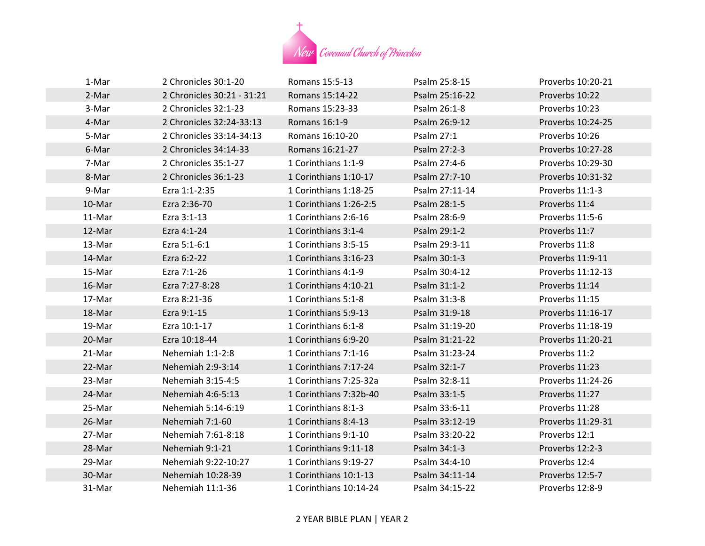

| 1-Mar  | 2 Chronicles 30:1-20       | Romans 15:5-13         | Psalm 25:8-15  | Proverbs 10:20-21 |
|--------|----------------------------|------------------------|----------------|-------------------|
| 2-Mar  | 2 Chronicles 30:21 - 31:21 | Romans 15:14-22        | Psalm 25:16-22 | Proverbs 10:22    |
| 3-Mar  | 2 Chronicles 32:1-23       | Romans 15:23-33        | Psalm 26:1-8   | Proverbs 10:23    |
| 4-Mar  | 2 Chronicles 32:24-33:13   | Romans 16:1-9          | Psalm 26:9-12  | Proverbs 10:24-25 |
| 5-Mar  | 2 Chronicles 33:14-34:13   | Romans 16:10-20        | Psalm 27:1     | Proverbs 10:26    |
| 6-Mar  | 2 Chronicles 34:14-33      | Romans 16:21-27        | Psalm 27:2-3   | Proverbs 10:27-28 |
| 7-Mar  | 2 Chronicles 35:1-27       | 1 Corinthians 1:1-9    | Psalm 27:4-6   | Proverbs 10:29-30 |
| 8-Mar  | 2 Chronicles 36:1-23       | 1 Corinthians 1:10-17  | Psalm 27:7-10  | Proverbs 10:31-32 |
| 9-Mar  | Ezra 1:1-2:35              | 1 Corinthians 1:18-25  | Psalm 27:11-14 | Proverbs 11:1-3   |
| 10-Mar | Ezra 2:36-70               | 1 Corinthians 1:26-2:5 | Psalm 28:1-5   | Proverbs 11:4     |
| 11-Mar | Ezra 3:1-13                | 1 Corinthians 2:6-16   | Psalm 28:6-9   | Proverbs 11:5-6   |
| 12-Mar | Ezra 4:1-24                | 1 Corinthians 3:1-4    | Psalm 29:1-2   | Proverbs 11:7     |
| 13-Mar | Ezra 5:1-6:1               | 1 Corinthians 3:5-15   | Psalm 29:3-11  | Proverbs 11:8     |
| 14-Mar | Ezra 6:2-22                | 1 Corinthians 3:16-23  | Psalm 30:1-3   | Proverbs 11:9-11  |
| 15-Mar | Ezra 7:1-26                | 1 Corinthians 4:1-9    | Psalm 30:4-12  | Proverbs 11:12-13 |
| 16-Mar | Ezra 7:27-8:28             | 1 Corinthians 4:10-21  | Psalm 31:1-2   | Proverbs 11:14    |
| 17-Mar | Ezra 8:21-36               | 1 Corinthians 5:1-8    | Psalm 31:3-8   | Proverbs 11:15    |
| 18-Mar | Ezra 9:1-15                | 1 Corinthians 5:9-13   | Psalm 31:9-18  | Proverbs 11:16-17 |
| 19-Mar | Ezra 10:1-17               | 1 Corinthians 6:1-8    | Psalm 31:19-20 | Proverbs 11:18-19 |
| 20-Mar | Ezra 10:18-44              | 1 Corinthians 6:9-20   | Psalm 31:21-22 | Proverbs 11:20-21 |
| 21-Mar | Nehemiah 1:1-2:8           | 1 Corinthians 7:1-16   | Psalm 31:23-24 | Proverbs 11:2     |
| 22-Mar | Nehemiah 2:9-3:14          | 1 Corinthians 7:17-24  | Psalm 32:1-7   | Proverbs 11:23    |
| 23-Mar | Nehemiah 3:15-4:5          | 1 Corinthians 7:25-32a | Psalm 32:8-11  | Proverbs 11:24-26 |
| 24-Mar | Nehemiah 4:6-5:13          | 1 Corinthians 7:32b-40 | Psalm 33:1-5   | Proverbs 11:27    |
| 25-Mar | Nehemiah 5:14-6:19         | 1 Corinthians 8:1-3    | Psalm 33:6-11  | Proverbs 11:28    |
| 26-Mar | Nehemiah 7:1-60            | 1 Corinthians 8:4-13   | Psalm 33:12-19 | Proverbs 11:29-31 |
| 27-Mar | Nehemiah 7:61-8:18         | 1 Corinthians 9:1-10   | Psalm 33:20-22 | Proverbs 12:1     |
| 28-Mar | Nehemiah 9:1-21            | 1 Corinthians 9:11-18  | Psalm 34:1-3   | Proverbs 12:2-3   |
| 29-Mar | Nehemiah 9:22-10:27        | 1 Corinthians 9:19-27  | Psalm 34:4-10  | Proverbs 12:4     |
| 30-Mar | Nehemiah 10:28-39          | 1 Corinthians 10:1-13  | Psalm 34:11-14 | Proverbs 12:5-7   |
| 31-Mar | Nehemiah 11:1-36           | 1 Corinthians 10:14-24 | Psalm 34:15-22 | Proverbs 12:8-9   |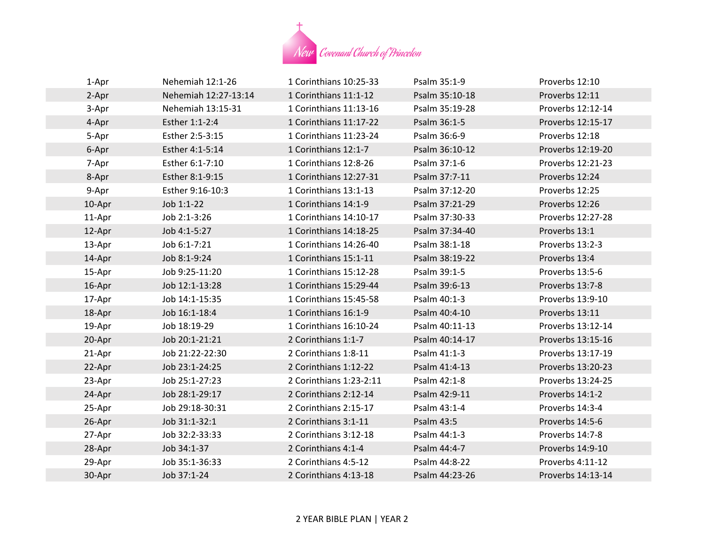

| 1-Apr  | Nehemiah 12:1-26     | 1 Corinthians 10:25-33  | Psalm 35:1-9   | Proverbs 12:10    |
|--------|----------------------|-------------------------|----------------|-------------------|
| 2-Apr  | Nehemiah 12:27-13:14 | 1 Corinthians 11:1-12   | Psalm 35:10-18 | Proverbs 12:11    |
| 3-Apr  | Nehemiah 13:15-31    | 1 Corinthians 11:13-16  | Psalm 35:19-28 | Proverbs 12:12-14 |
| 4-Apr  | Esther 1:1-2:4       | 1 Corinthians 11:17-22  | Psalm 36:1-5   | Proverbs 12:15-17 |
| 5-Apr  | Esther 2:5-3:15      | 1 Corinthians 11:23-24  | Psalm 36:6-9   | Proverbs 12:18    |
| 6-Apr  | Esther 4:1-5:14      | 1 Corinthians 12:1-7    | Psalm 36:10-12 | Proverbs 12:19-20 |
| 7-Apr  | Esther 6:1-7:10      | 1 Corinthians 12:8-26   | Psalm 37:1-6   | Proverbs 12:21-23 |
| 8-Apr  | Esther 8:1-9:15      | 1 Corinthians 12:27-31  | Psalm 37:7-11  | Proverbs 12:24    |
| 9-Apr  | Esther 9:16-10:3     | 1 Corinthians 13:1-13   | Psalm 37:12-20 | Proverbs 12:25    |
| 10-Apr | Job 1:1-22           | 1 Corinthians 14:1-9    | Psalm 37:21-29 | Proverbs 12:26    |
| 11-Apr | Job 2:1-3:26         | 1 Corinthians 14:10-17  | Psalm 37:30-33 | Proverbs 12:27-28 |
| 12-Apr | Job 4:1-5:27         | 1 Corinthians 14:18-25  | Psalm 37:34-40 | Proverbs 13:1     |
| 13-Apr | Job 6:1-7:21         | 1 Corinthians 14:26-40  | Psalm 38:1-18  | Proverbs 13:2-3   |
| 14-Apr | Job 8:1-9:24         | 1 Corinthians 15:1-11   | Psalm 38:19-22 | Proverbs 13:4     |
| 15-Apr | Job 9:25-11:20       | 1 Corinthians 15:12-28  | Psalm 39:1-5   | Proverbs 13:5-6   |
| 16-Apr | Job 12:1-13:28       | 1 Corinthians 15:29-44  | Psalm 39:6-13  | Proverbs 13:7-8   |
| 17-Apr | Job 14:1-15:35       | 1 Corinthians 15:45-58  | Psalm 40:1-3   | Proverbs 13:9-10  |
| 18-Apr | Job 16:1-18:4        | 1 Corinthians 16:1-9    | Psalm 40:4-10  | Proverbs 13:11    |
| 19-Apr | Job 18:19-29         | 1 Corinthians 16:10-24  | Psalm 40:11-13 | Proverbs 13:12-14 |
| 20-Apr | Job 20:1-21:21       | 2 Corinthians 1:1-7     | Psalm 40:14-17 | Proverbs 13:15-16 |
| 21-Apr | Job 21:22-22:30      | 2 Corinthians 1:8-11    | Psalm 41:1-3   | Proverbs 13:17-19 |
| 22-Apr | Job 23:1-24:25       | 2 Corinthians 1:12-22   | Psalm 41:4-13  | Proverbs 13:20-23 |
| 23-Apr | Job 25:1-27:23       | 2 Corinthians 1:23-2:11 | Psalm 42:1-8   | Proverbs 13:24-25 |
| 24-Apr | Job 28:1-29:17       | 2 Corinthians 2:12-14   | Psalm 42:9-11  | Proverbs 14:1-2   |
| 25-Apr | Job 29:18-30:31      | 2 Corinthians 2:15-17   | Psalm 43:1-4   | Proverbs 14:3-4   |
| 26-Apr | Job 31:1-32:1        | 2 Corinthians 3:1-11    | Psalm 43:5     | Proverbs 14:5-6   |
| 27-Apr | Job 32:2-33:33       | 2 Corinthians 3:12-18   | Psalm 44:1-3   | Proverbs 14:7-8   |
| 28-Apr | Job 34:1-37          | 2 Corinthians 4:1-4     | Psalm 44:4-7   | Proverbs 14:9-10  |
| 29-Apr | Job 35:1-36:33       | 2 Corinthians 4:5-12    | Psalm 44:8-22  | Proverbs 4:11-12  |
| 30-Apr | Job 37:1-24          | 2 Corinthians 4:13-18   | Psalm 44:23-26 | Proverbs 14:13-14 |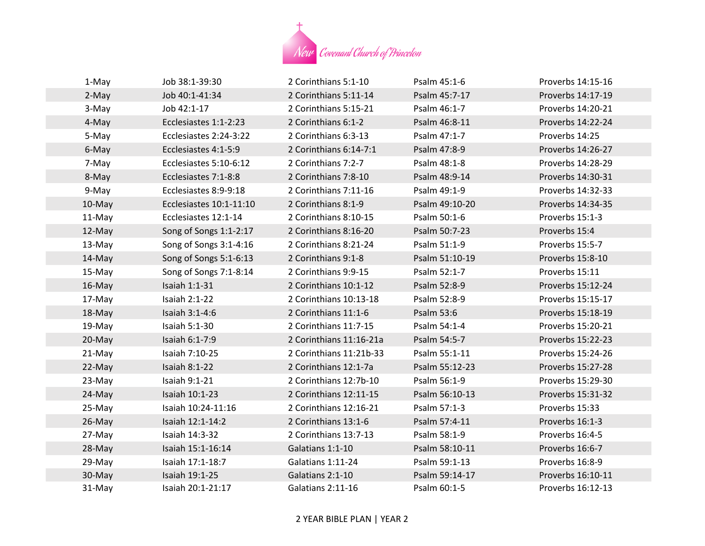

| 1-May  | Job 38:1-39:30          | 2 Corinthians 5:1-10    | Psalm 45:1-6   | Proverbs 14:15-16 |
|--------|-------------------------|-------------------------|----------------|-------------------|
| 2-May  | Job 40:1-41:34          | 2 Corinthians 5:11-14   | Psalm 45:7-17  | Proverbs 14:17-19 |
| 3-May  | Job 42:1-17             | 2 Corinthians 5:15-21   | Psalm 46:1-7   | Proverbs 14:20-21 |
| 4-May  | Ecclesiastes 1:1-2:23   | 2 Corinthians 6:1-2     | Psalm 46:8-11  | Proverbs 14:22-24 |
| 5-May  | Ecclesiastes 2:24-3:22  | 2 Corinthians 6:3-13    | Psalm 47:1-7   | Proverbs 14:25    |
| 6-May  | Ecclesiastes 4:1-5:9    | 2 Corinthians 6:14-7:1  | Psalm 47:8-9   | Proverbs 14:26-27 |
| 7-May  | Ecclesiastes 5:10-6:12  | 2 Corinthians 7:2-7     | Psalm 48:1-8   | Proverbs 14:28-29 |
| 8-May  | Ecclesiastes 7:1-8:8    | 2 Corinthians 7:8-10    | Psalm 48:9-14  | Proverbs 14:30-31 |
| 9-May  | Ecclesiastes 8:9-9:18   | 2 Corinthians 7:11-16   | Psalm 49:1-9   | Proverbs 14:32-33 |
| 10-May | Ecclesiastes 10:1-11:10 | 2 Corinthians 8:1-9     | Psalm 49:10-20 | Proverbs 14:34-35 |
| 11-May | Ecclesiastes 12:1-14    | 2 Corinthians 8:10-15   | Psalm 50:1-6   | Proverbs 15:1-3   |
| 12-May | Song of Songs 1:1-2:17  | 2 Corinthians 8:16-20   | Psalm 50:7-23  | Proverbs 15:4     |
| 13-May | Song of Songs 3:1-4:16  | 2 Corinthians 8:21-24   | Psalm 51:1-9   | Proverbs 15:5-7   |
| 14-May | Song of Songs 5:1-6:13  | 2 Corinthians 9:1-8     | Psalm 51:10-19 | Proverbs 15:8-10  |
| 15-May | Song of Songs 7:1-8:14  | 2 Corinthians 9:9-15    | Psalm 52:1-7   | Proverbs 15:11    |
| 16-May | Isaiah 1:1-31           | 2 Corinthians 10:1-12   | Psalm 52:8-9   | Proverbs 15:12-24 |
| 17-May | Isaiah 2:1-22           | 2 Corinthians 10:13-18  | Psalm 52:8-9   | Proverbs 15:15-17 |
| 18-May | Isaiah 3:1-4:6          | 2 Corinthians 11:1-6    | Psalm 53:6     | Proverbs 15:18-19 |
| 19-May | <b>Isaiah 5:1-30</b>    | 2 Corinthians 11:7-15   | Psalm 54:1-4   | Proverbs 15:20-21 |
| 20-May | Isaiah 6:1-7:9          | 2 Corinthians 11:16-21a | Psalm 54:5-7   | Proverbs 15:22-23 |
| 21-May | Isaiah 7:10-25          | 2 Corinthians 11:21b-33 | Psalm 55:1-11  | Proverbs 15:24-26 |
| 22-May | <b>Isaiah 8:1-22</b>    | 2 Corinthians 12:1-7a   | Psalm 55:12-23 | Proverbs 15:27-28 |
| 23-May | <b>Isaiah 9:1-21</b>    | 2 Corinthians 12:7b-10  | Psalm 56:1-9   | Proverbs 15:29-30 |
| 24-May | Isaiah 10:1-23          | 2 Corinthians 12:11-15  | Psalm 56:10-13 | Proverbs 15:31-32 |
| 25-May | Isaiah 10:24-11:16      | 2 Corinthians 12:16-21  | Psalm 57:1-3   | Proverbs 15:33    |
| 26-May | Isaiah 12:1-14:2        | 2 Corinthians 13:1-6    | Psalm 57:4-11  | Proverbs 16:1-3   |
| 27-May | Isaiah 14:3-32          | 2 Corinthians 13:7-13   | Psalm 58:1-9   | Proverbs 16:4-5   |
| 28-May | Isaiah 15:1-16:14       | Galatians 1:1-10        | Psalm 58:10-11 | Proverbs 16:6-7   |
| 29-May | Isaiah 17:1-18:7        | Galatians 1:11-24       | Psalm 59:1-13  | Proverbs 16:8-9   |
| 30-May | Isaiah 19:1-25          | Galatians 2:1-10        | Psalm 59:14-17 | Proverbs 16:10-11 |
| 31-May | Isaiah 20:1-21:17       | Galatians 2:11-16       | Psalm 60:1-5   | Proverbs 16:12-13 |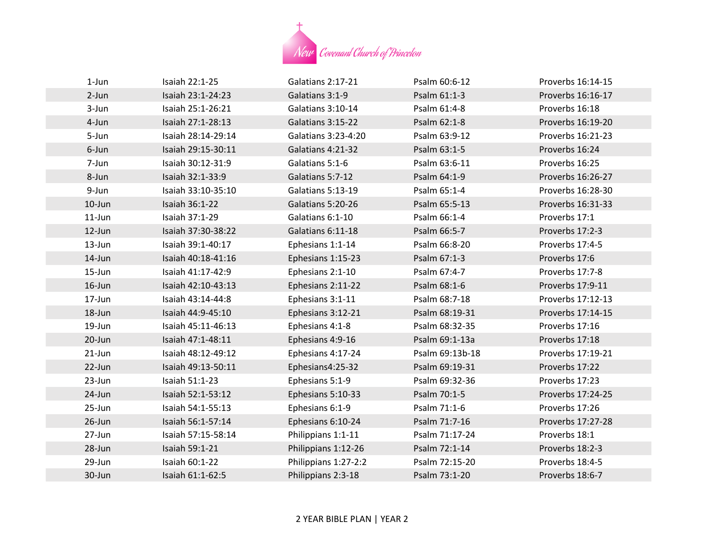

| $1$ -Jun   | Isaiah 22:1-25     | Galatians 2:17-21    | Psalm 60:6-12   | Proverbs 16:14-15 |
|------------|--------------------|----------------------|-----------------|-------------------|
| $2-Jun$    | Isaiah 23:1-24:23  | Galatians 3:1-9      | Psalm 61:1-3    | Proverbs 16:16-17 |
| 3-Jun      | Isaiah 25:1-26:21  | Galatians 3:10-14    | Psalm 61:4-8    | Proverbs 16:18    |
| 4-Jun      | Isaiah 27:1-28:13  | Galatians 3:15-22    | Psalm 62:1-8    | Proverbs 16:19-20 |
| 5-Jun      | Isaiah 28:14-29:14 | Galatians 3:23-4:20  | Psalm 63:9-12   | Proverbs 16:21-23 |
| 6-Jun      | Isaiah 29:15-30:11 | Galatians 4:21-32    | Psalm 63:1-5    | Proverbs 16:24    |
| 7-Jun      | Isaiah 30:12-31:9  | Galatians 5:1-6      | Psalm 63:6-11   | Proverbs 16:25    |
| 8-Jun      | Isaiah 32:1-33:9   | Galatians 5:7-12     | Psalm 64:1-9    | Proverbs 16:26-27 |
| 9-Jun      | Isaiah 33:10-35:10 | Galatians 5:13-19    | Psalm 65:1-4    | Proverbs 16:28-30 |
| 10-Jun     | Isaiah 36:1-22     | Galatians 5:20-26    | Psalm 65:5-13   | Proverbs 16:31-33 |
| $11$ -Jun  | Isaiah 37:1-29     | Galatians 6:1-10     | Psalm 66:1-4    | Proverbs 17:1     |
| 12-Jun     | Isaiah 37:30-38:22 | Galatians 6:11-18    | Psalm 66:5-7    | Proverbs 17:2-3   |
| 13-Jun     | Isaiah 39:1-40:17  | Ephesians 1:1-14     | Psalm 66:8-20   | Proverbs 17:4-5   |
| 14-Jun     | Isaiah 40:18-41:16 | Ephesians 1:15-23    | Psalm 67:1-3    | Proverbs 17:6     |
| $15 - Jun$ | Isaiah 41:17-42:9  | Ephesians 2:1-10     | Psalm 67:4-7    | Proverbs 17:7-8   |
| 16-Jun     | Isaiah 42:10-43:13 | Ephesians 2:11-22    | Psalm 68:1-6    | Proverbs 17:9-11  |
| 17-Jun     | Isaiah 43:14-44:8  | Ephesians 3:1-11     | Psalm 68:7-18   | Proverbs 17:12-13 |
| 18-Jun     | Isaiah 44:9-45:10  | Ephesians 3:12-21    | Psalm 68:19-31  | Proverbs 17:14-15 |
| 19-Jun     | Isaiah 45:11-46:13 | Ephesians 4:1-8      | Psalm 68:32-35  | Proverbs 17:16    |
| 20-Jun     | Isaiah 47:1-48:11  | Ephesians 4:9-16     | Psalm 69:1-13a  | Proverbs 17:18    |
| $21$ -Jun  | Isaiah 48:12-49:12 | Ephesians 4:17-24    | Psalm 69:13b-18 | Proverbs 17:19-21 |
| 22-Jun     | Isaiah 49:13-50:11 | Ephesians4:25-32     | Psalm 69:19-31  | Proverbs 17:22    |
| 23-Jun     | Isaiah 51:1-23     | Ephesians 5:1-9      | Psalm 69:32-36  | Proverbs 17:23    |
| 24-Jun     | Isaiah 52:1-53:12  | Ephesians 5:10-33    | Psalm 70:1-5    | Proverbs 17:24-25 |
| 25-Jun     | Isaiah 54:1-55:13  | Ephesians 6:1-9      | Psalm 71:1-6    | Proverbs 17:26    |
| 26-Jun     | Isaiah 56:1-57:14  | Ephesians 6:10-24    | Psalm 71:7-16   | Proverbs 17:27-28 |
| 27-Jun     | Isaiah 57:15-58:14 | Philippians 1:1-11   | Psalm 71:17-24  | Proverbs 18:1     |
| 28-Jun     | Isaiah 59:1-21     | Philippians 1:12-26  | Psalm 72:1-14   | Proverbs 18:2-3   |
| 29-Jun     | Isaiah 60:1-22     | Philippians 1:27-2:2 | Psalm 72:15-20  | Proverbs 18:4-5   |
| 30-Jun     | Isaiah 61:1-62:5   | Philippians 2:3-18   | Psalm 73:1-20   | Proverbs 18:6-7   |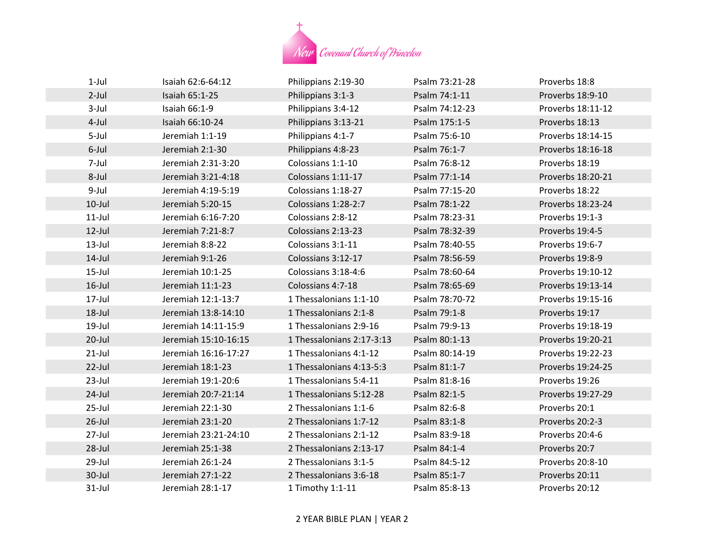

| $1-Jul$   | Isaiah 62:6-64:12    | Philippians 2:19-30       | Psalm 73:21-28 | Proverbs 18:8     |
|-----------|----------------------|---------------------------|----------------|-------------------|
| $2$ -Jul  | Isaiah 65:1-25       | Philippians 3:1-3         | Psalm 74:1-11  | Proverbs 18:9-10  |
| $3$ -Jul  | Isaiah 66:1-9        | Philippians 3:4-12        | Psalm 74:12-23 | Proverbs 18:11-12 |
| $4$ -Jul  | Isaiah 66:10-24      | Philippians 3:13-21       | Psalm 175:1-5  | Proverbs 18:13    |
| 5-Jul     | Jeremiah 1:1-19      | Philippians 4:1-7         | Psalm 75:6-10  | Proverbs 18:14-15 |
| 6-Jul     | Jeremiah 2:1-30      | Philippians 4:8-23        | Psalm 76:1-7   | Proverbs 18:16-18 |
| 7-Jul     | Jeremiah 2:31-3:20   | Colossians 1:1-10         | Psalm 76:8-12  | Proverbs 18:19    |
| 8-Jul     | Jeremiah 3:21-4:18   | Colossians 1:11-17        | Psalm 77:1-14  | Proverbs 18:20-21 |
| 9-Jul     | Jeremiah 4:19-5:19   | Colossians 1:18-27        | Psalm 77:15-20 | Proverbs 18:22    |
| $10$ -Jul | Jeremiah 5:20-15     | Colossians 1:28-2:7       | Psalm 78:1-22  | Proverbs 18:23-24 |
| $11$ -Jul | Jeremiah 6:16-7:20   | Colossians 2:8-12         | Psalm 78:23-31 | Proverbs 19:1-3   |
| $12$ -Jul | Jeremiah 7:21-8:7    | Colossians 2:13-23        | Psalm 78:32-39 | Proverbs 19:4-5   |
| $13$ -Jul | Jeremiah 8:8-22      | Colossians 3:1-11         | Psalm 78:40-55 | Proverbs 19:6-7   |
| $14$ -Jul | Jeremiah 9:1-26      | Colossians 3:12-17        | Psalm 78:56-59 | Proverbs 19:8-9   |
| $15$ -Jul | Jeremiah 10:1-25     | Colossians 3:18-4:6       | Psalm 78:60-64 | Proverbs 19:10-12 |
| $16$ -Jul | Jeremiah 11:1-23     | Colossians 4:7-18         | Psalm 78:65-69 | Proverbs 19:13-14 |
| 17-Jul    | Jeremiah 12:1-13:7   | 1 Thessalonians 1:1-10    | Psalm 78:70-72 | Proverbs 19:15-16 |
| 18-Jul    | Jeremiah 13:8-14:10  | 1 Thessalonians 2:1-8     | Psalm 79:1-8   | Proverbs 19:17    |
| 19-Jul    | Jeremiah 14:11-15:9  | 1 Thessalonians 2:9-16    | Psalm 79:9-13  | Proverbs 19:18-19 |
| $20$ -Jul | Jeremiah 15:10-16:15 | 1 Thessalonians 2:17-3:13 | Psalm 80:1-13  | Proverbs 19:20-21 |
| $21$ -Jul | Jeremiah 16:16-17:27 | 1 Thessalonians 4:1-12    | Psalm 80:14-19 | Proverbs 19:22-23 |
| $22$ -Jul | Jeremiah 18:1-23     | 1 Thessalonians 4:13-5:3  | Psalm 81:1-7   | Proverbs 19:24-25 |
| $23$ -Jul | Jeremiah 19:1-20:6   | 1 Thessalonians 5:4-11    | Psalm 81:8-16  | Proverbs 19:26    |
| $24$ -Jul | Jeremiah 20:7-21:14  | 1 Thessalonians 5:12-28   | Psalm 82:1-5   | Proverbs 19:27-29 |
| $25$ -Jul | Jeremiah 22:1-30     | 2 Thessalonians 1:1-6     | Psalm 82:6-8   | Proverbs 20:1     |
| $26$ -Jul | Jeremiah 23:1-20     | 2 Thessalonians 1:7-12    | Psalm 83:1-8   | Proverbs 20:2-3   |
| 27-Jul    | Jeremiah 23:21-24:10 | 2 Thessalonians 2:1-12    | Psalm 83:9-18  | Proverbs 20:4-6   |
| $28$ -Jul | Jeremiah 25:1-38     | 2 Thessalonians 2:13-17   | Psalm 84:1-4   | Proverbs 20:7     |
| 29-Jul    | Jeremiah 26:1-24     | 2 Thessalonians 3:1-5     | Psalm 84:5-12  | Proverbs 20:8-10  |
| 30-Jul    | Jeremiah 27:1-22     | 2 Thessalonians 3:6-18    | Psalm 85:1-7   | Proverbs 20:11    |
| $31$ -Jul | Jeremiah 28:1-17     | 1 Timothy 1:1-11          | Psalm 85:8-13  | Proverbs 20:12    |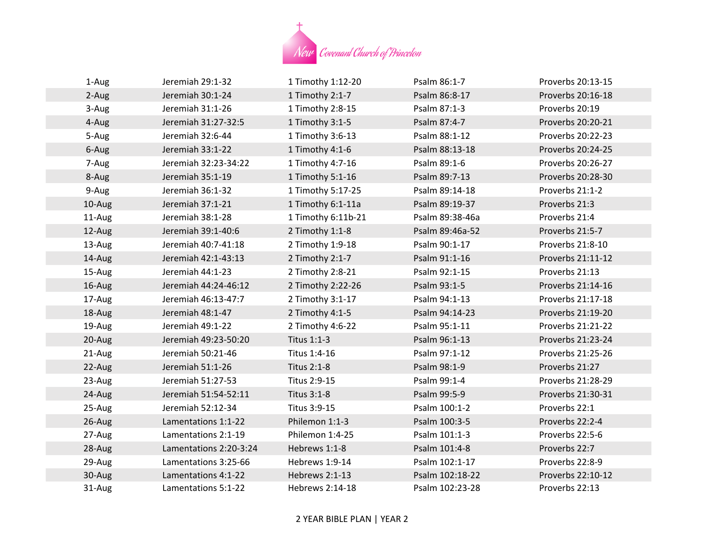

| 1-Aug  | Jeremiah 29:1-32       | 1 Timothy 1:12-20  | Psalm 86:1-7    | Proverbs 20:13-15 |
|--------|------------------------|--------------------|-----------------|-------------------|
| 2-Aug  | Jeremiah 30:1-24       | 1 Timothy 2:1-7    | Psalm 86:8-17   | Proverbs 20:16-18 |
| 3-Aug  | Jeremiah 31:1-26       | 1 Timothy 2:8-15   | Psalm 87:1-3    | Proverbs 20:19    |
| 4-Aug  | Jeremiah 31:27-32:5    | 1 Timothy 3:1-5    | Psalm 87:4-7    | Proverbs 20:20-21 |
| 5-Aug  | Jeremiah 32:6-44       | 1 Timothy 3:6-13   | Psalm 88:1-12   | Proverbs 20:22-23 |
| 6-Aug  | Jeremiah 33:1-22       | 1 Timothy 4:1-6    | Psalm 88:13-18  | Proverbs 20:24-25 |
| 7-Aug  | Jeremiah 32:23-34:22   | 1 Timothy 4:7-16   | Psalm 89:1-6    | Proverbs 20:26-27 |
| 8-Aug  | Jeremiah 35:1-19       | 1 Timothy 5:1-16   | Psalm 89:7-13   | Proverbs 20:28-30 |
| 9-Aug  | Jeremiah 36:1-32       | 1 Timothy 5:17-25  | Psalm 89:14-18  | Proverbs 21:1-2   |
| 10-Aug | Jeremiah 37:1-21       | 1 Timothy 6:1-11a  | Psalm 89:19-37  | Proverbs 21:3     |
| 11-Aug | Jeremiah 38:1-28       | 1 Timothy 6:11b-21 | Psalm 89:38-46a | Proverbs 21:4     |
| 12-Aug | Jeremiah 39:1-40:6     | 2 Timothy 1:1-8    | Psalm 89:46a-52 | Proverbs 21:5-7   |
| 13-Aug | Jeremiah 40:7-41:18    | 2 Timothy 1:9-18   | Psalm 90:1-17   | Proverbs 21:8-10  |
| 14-Aug | Jeremiah 42:1-43:13    | 2 Timothy 2:1-7    | Psalm 91:1-16   | Proverbs 21:11-12 |
| 15-Aug | Jeremiah 44:1-23       | 2 Timothy 2:8-21   | Psalm 92:1-15   | Proverbs 21:13    |
| 16-Aug | Jeremiah 44:24-46:12   | 2 Timothy 2:22-26  | Psalm 93:1-5    | Proverbs 21:14-16 |
| 17-Aug | Jeremiah 46:13-47:7    | 2 Timothy 3:1-17   | Psalm 94:1-13   | Proverbs 21:17-18 |
| 18-Aug | Jeremiah 48:1-47       | 2 Timothy 4:1-5    | Psalm 94:14-23  | Proverbs 21:19-20 |
| 19-Aug | Jeremiah 49:1-22       | 2 Timothy 4:6-22   | Psalm 95:1-11   | Proverbs 21:21-22 |
| 20-Aug | Jeremiah 49:23-50:20   | Titus 1:1-3        | Psalm 96:1-13   | Proverbs 21:23-24 |
| 21-Aug | Jeremiah 50:21-46      | Titus 1:4-16       | Psalm 97:1-12   | Proverbs 21:25-26 |
| 22-Aug | Jeremiah 51:1-26       | Titus 2:1-8        | Psalm 98:1-9    | Proverbs 21:27    |
| 23-Aug | Jeremiah 51:27-53      | Titus 2:9-15       | Psalm 99:1-4    | Proverbs 21:28-29 |
| 24-Aug | Jeremiah 51:54-52:11   | Titus 3:1-8        | Psalm 99:5-9    | Proverbs 21:30-31 |
| 25-Aug | Jeremiah 52:12-34      | Titus 3:9-15       | Psalm 100:1-2   | Proverbs 22:1     |
| 26-Aug | Lamentations 1:1-22    | Philemon 1:1-3     | Psalm 100:3-5   | Proverbs 22:2-4   |
| 27-Aug | Lamentations 2:1-19    | Philemon 1:4-25    | Psalm 101:1-3   | Proverbs 22:5-6   |
| 28-Aug | Lamentations 2:20-3:24 | Hebrews 1:1-8      | Psalm 101:4-8   | Proverbs 22:7     |
| 29-Aug | Lamentations 3:25-66   | Hebrews 1:9-14     | Psalm 102:1-17  | Proverbs 22:8-9   |
| 30-Aug | Lamentations 4:1-22    | Hebrews 2:1-13     | Psalm 102:18-22 | Proverbs 22:10-12 |
| 31-Aug | Lamentations 5:1-22    | Hebrews 2:14-18    | Psalm 102:23-28 | Proverbs 22:13    |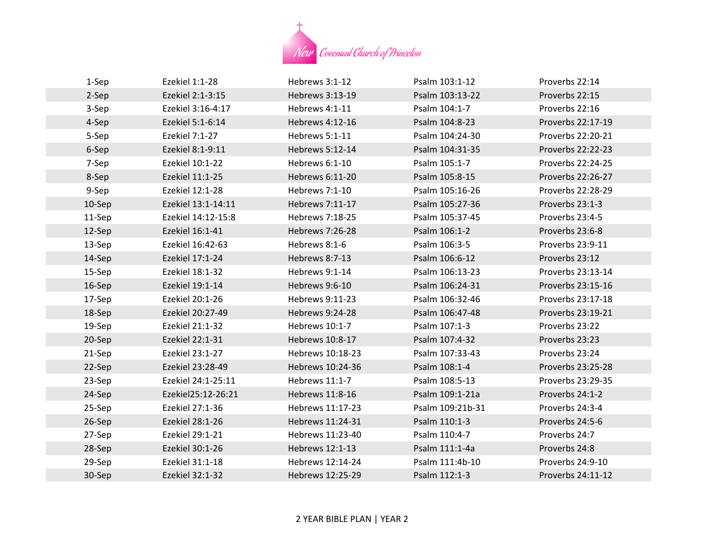

| 1-Sep  | Ezekiel 1:1-28     | Hebrews 3:1-12   | Psalm 103:1-12   | Proverbs 22:14    |
|--------|--------------------|------------------|------------------|-------------------|
| 2-Sep  | Ezekiel 2:1-3:15   | Hebrews 3:13-19  | Psalm 103:13-22  | Proverbs 22:15    |
| 3-Sep  | Ezekiel 3:16-4:17  | Hebrews 4:1-11   | Psalm 104:1-7    | Proverbs 22:16    |
| 4-Sep  | Ezekiel 5:1-6:14   | Hebrews 4:12-16  | Psalm 104:8-23   | Proverbs 22:17-19 |
| 5-Sep  | Ezekiel 7:1-27     | Hebrews 5:1-11   | Psalm 104:24-30  | Proverbs 22:20-21 |
| 6-Sep  | Ezekiel 8:1-9:11   | Hebrews 5:12-14  | Psalm 104:31-35  | Proverbs 22:22-23 |
| 7-Sep  | Ezekiel 10:1-22    | Hebrews 6:1-10   | Psalm 105:1-7    | Proverbs 22:24-25 |
| 8-Sep  | Ezekiel 11:1-25    | Hebrews 6:11-20  | Psalm 105:8-15   | Proverbs 22:26-27 |
| 9-Sep  | Ezekiel 12:1-28    | Hebrews 7:1-10   | Psalm 105:16-26  | Proverbs 22:28-29 |
| 10-Sep | Ezekiel 13:1-14:11 | Hebrews 7:11-17  | Psalm 105:27-36  | Proverbs 23:1-3   |
| 11-Sep | Ezekiel 14:12-15:8 | Hebrews 7:18-25  | Psalm 105:37-45  | Proverbs 23:4-5   |
| 12-Sep | Ezekiel 16:1-41    | Hebrews 7:26-28  | Psalm 106:1-2    | Proverbs 23:6-8   |
| 13-Sep | Ezekiel 16:42-63   | Hebrews 8:1-6    | Psalm 106:3-5    | Proverbs 23:9-11  |
| 14-Sep | Ezekiel 17:1-24    | Hebrews 8:7-13   | Psalm 106:6-12   | Proverbs 23:12    |
| 15-Sep | Ezekiel 18:1-32    | Hebrews 9:1-14   | Psalm 106:13-23  | Proverbs 23:13-14 |
| 16-Sep | Ezekiel 19:1-14    | Hebrews 9:6-10   | Psalm 106:24-31  | Proverbs 23:15-16 |
| 17-Sep | Ezekiel 20:1-26    | Hebrews 9:11-23  | Psalm 106:32-46  | Proverbs 23:17-18 |
| 18-Sep | Ezekiel 20:27-49   | Hebrews 9:24-28  | Psalm 106:47-48  | Proverbs 23:19-21 |
| 19-Sep | Ezekiel 21:1-32    | Hebrews 10:1-7   | Psalm 107:1-3    | Proverbs 23:22    |
| 20-Sep | Ezekiel 22:1-31    | Hebrews 10:8-17  | Psalm 107:4-32   | Proverbs 23:23    |
| 21-Sep | Ezekiel 23:1-27    | Hebrews 10:18-23 | Psalm 107:33-43  | Proverbs 23:24    |
| 22-Sep | Ezekiel 23:28-49   | Hebrews 10:24-36 | Psalm 108:1-4    | Proverbs 23:25-28 |
| 23-Sep | Ezekiel 24:1-25:11 | Hebrews 11:1-7   | Psalm 108:5-13   | Proverbs 23:29-35 |
| 24-Sep | Ezekiel25:12-26:21 | Hebrews 11:8-16  | Psalm 109:1-21a  | Proverbs 24:1-2   |
| 25-Sep | Ezekiel 27:1-36    | Hebrews 11:17-23 | Psalm 109:21b-31 | Proverbs 24:3-4   |
| 26-Sep | Ezekiel 28:1-26    | Hebrews 11:24-31 | Psalm 110:1-3    | Proverbs 24:5-6   |
| 27-Sep | Ezekiel 29:1-21    | Hebrews 11:23-40 | Psalm 110:4-7    | Proverbs 24:7     |
| 28-Sep | Ezekiel 30:1-26    | Hebrews 12:1-13  | Psalm 111:1-4a   | Proverbs 24:8     |
| 29-Sep | Ezekiel 31:1-18    | Hebrews 12:14-24 | Psalm 111:4b-10  | Proverbs 24:9-10  |
| 30-Sep | Ezekiel 32:1-32    | Hebrews 12:25-29 | Psalm 112:1-3    | Proverbs 24:11-12 |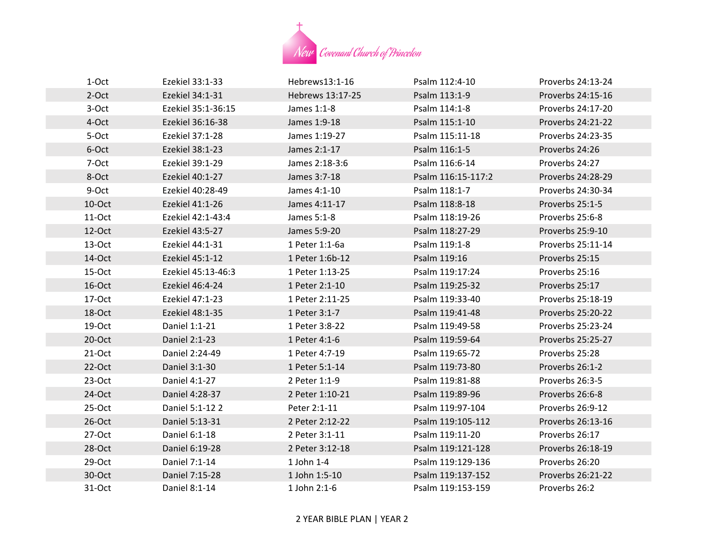

| 1-Oct     | Ezekiel 33:1-33    | Hebrews13:1-16   | Psalm 112:4-10     | Proverbs 24:13-24 |
|-----------|--------------------|------------------|--------------------|-------------------|
| $2-Oct$   | Ezekiel 34:1-31    | Hebrews 13:17-25 | Psalm 113:1-9      | Proverbs 24:15-16 |
| 3-Oct     | Ezekiel 35:1-36:15 | James 1:1-8      | Psalm 114:1-8      | Proverbs 24:17-20 |
| 4-Oct     | Ezekiel 36:16-38   | James 1:9-18     | Psalm 115:1-10     | Proverbs 24:21-22 |
| 5-Oct     | Ezekiel 37:1-28    | James 1:19-27    | Psalm 115:11-18    | Proverbs 24:23-35 |
| 6-Oct     | Ezekiel 38:1-23    | James 2:1-17     | Psalm 116:1-5      | Proverbs 24:26    |
| 7-Oct     | Ezekiel 39:1-29    | James 2:18-3:6   | Psalm 116:6-14     | Proverbs 24:27    |
| 8-Oct     | Ezekiel 40:1-27    | James 3:7-18     | Psalm 116:15-117:2 | Proverbs 24:28-29 |
| 9-Oct     | Ezekiel 40:28-49   | James 4:1-10     | Psalm 118:1-7      | Proverbs 24:30-34 |
| 10-Oct    | Ezekiel 41:1-26    | James 4:11-17    | Psalm 118:8-18     | Proverbs 25:1-5   |
| $11-Oct$  | Ezekiel 42:1-43:4  | James 5:1-8      | Psalm 118:19-26    | Proverbs 25:6-8   |
| $12-Oct$  | Ezekiel 43:5-27    | James 5:9-20     | Psalm 118:27-29    | Proverbs 25:9-10  |
| $13-Oct$  | Ezekiel 44:1-31    | 1 Peter 1:1-6a   | Psalm 119:1-8      | Proverbs 25:11-14 |
| 14-Oct    | Ezekiel 45:1-12    | 1 Peter 1:6b-12  | Psalm 119:16       | Proverbs 25:15    |
| 15-Oct    | Ezekiel 45:13-46:3 | 1 Peter 1:13-25  | Psalm 119:17:24    | Proverbs 25:16    |
| 16-Oct    | Ezekiel 46:4-24    | 1 Peter 2:1-10   | Psalm 119:25-32    | Proverbs 25:17    |
| 17-Oct    | Ezekiel 47:1-23    | 1 Peter 2:11-25  | Psalm 119:33-40    | Proverbs 25:18-19 |
| 18-Oct    | Ezekiel 48:1-35    | 1 Peter 3:1-7    | Psalm 119:41-48    | Proverbs 25:20-22 |
| 19-Oct    | Daniel 1:1-21      | 1 Peter 3:8-22   | Psalm 119:49-58    | Proverbs 25:23-24 |
| $20$ -Oct | Daniel 2:1-23      | 1 Peter 4:1-6    | Psalm 119:59-64    | Proverbs 25:25-27 |
| $21-Oct$  | Daniel 2:24-49     | 1 Peter 4:7-19   | Psalm 119:65-72    | Proverbs 25:28    |
| $22-Oct$  | Daniel 3:1-30      | 1 Peter 5:1-14   | Psalm 119:73-80    | Proverbs 26:1-2   |
| $23-Oct$  | Daniel 4:1-27      | 2 Peter 1:1-9    | Psalm 119:81-88    | Proverbs 26:3-5   |
| 24-Oct    | Daniel 4:28-37     | 2 Peter 1:10-21  | Psalm 119:89-96    | Proverbs 26:6-8   |
| $25-Oct$  | Daniel 5:1-12 2    | Peter 2:1-11     | Psalm 119:97-104   | Proverbs 26:9-12  |
| $26$ -Oct | Daniel 5:13-31     | 2 Peter 2:12-22  | Psalm 119:105-112  | Proverbs 26:13-16 |
| $27-Oct$  | Daniel 6:1-18      | 2 Peter 3:1-11   | Psalm 119:11-20    | Proverbs 26:17    |
| 28-Oct    | Daniel 6:19-28     | 2 Peter 3:12-18  | Psalm 119:121-128  | Proverbs 26:18-19 |
| $29-Oct$  | Daniel 7:1-14      | 1 John 1-4       | Psalm 119:129-136  | Proverbs 26:20    |
| 30-Oct    | Daniel 7:15-28     | 1 John 1:5-10    | Psalm 119:137-152  | Proverbs 26:21-22 |
| 31-Oct    | Daniel 8:1-14      | $1$ John 2:1-6   | Psalm 119:153-159  | Proverbs 26:2     |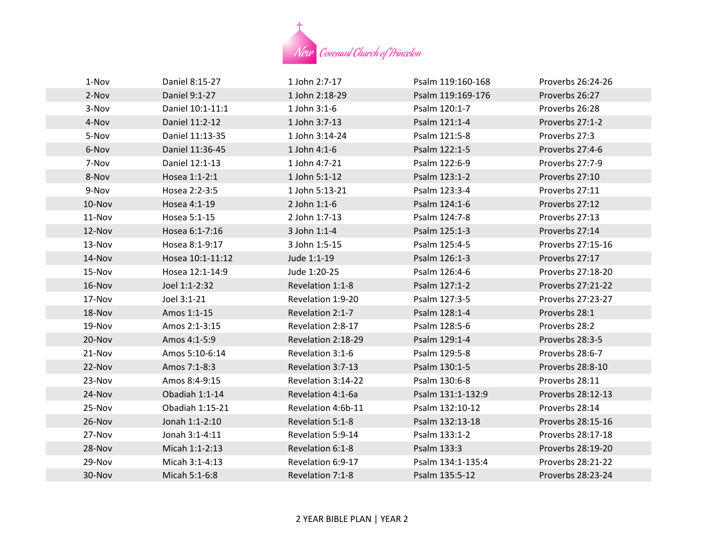

| 1-Nov  | Daniel 8:15-27   | 1 John 2:7-17      | Psalm 119:160-168 | Proverbs 26:24-26 |
|--------|------------------|--------------------|-------------------|-------------------|
| 2-Nov  | Daniel 9:1-27    | 1 John 2:18-29     | Psalm 119:169-176 | Proverbs 26:27    |
| 3-Nov  | Daniel 10:1-11:1 | $1$ John $3:1-6$   | Psalm 120:1-7     | Proverbs 26:28    |
| 4-Nov  | Daniel 11:2-12   | 1 John 3:7-13      | Psalm 121:1-4     | Proverbs 27:1-2   |
| 5-Nov  | Daniel 11:13-35  | 1 John 3:14-24     | Psalm 121:5-8     | Proverbs 27:3     |
| 6-Nov  | Daniel 11:36-45  | 1 John 4:1-6       | Psalm 122:1-5     | Proverbs 27:4-6   |
| 7-Nov  | Daniel 12:1-13   | 1 John 4:7-21      | Psalm 122:6-9     | Proverbs 27:7-9   |
| 8-Nov  | Hosea 1:1-2:1    | 1 John 5:1-12      | Psalm 123:1-2     | Proverbs 27:10    |
| 9-Nov  | Hosea 2:2-3:5    | 1 John 5:13-21     | Psalm 123:3-4     | Proverbs 27:11    |
| 10-Nov | Hosea 4:1-19     | 2 John 1:1-6       | Psalm 124:1-6     | Proverbs 27:12    |
| 11-Nov | Hosea 5:1-15     | 2 John 1:7-13      | Psalm 124:7-8     | Proverbs 27:13    |
| 12-Nov | Hosea 6:1-7:16   | $3$ John 1:1-4     | Psalm 125:1-3     | Proverbs 27:14    |
| 13-Nov | Hosea 8:1-9:17   | 3 John 1:5-15      | Psalm 125:4-5     | Proverbs 27:15-16 |
| 14-Nov | Hosea 10:1-11:12 | Jude 1:1-19        | Psalm 126:1-3     | Proverbs 27:17    |
| 15-Nov | Hosea 12:1-14:9  | Jude 1:20-25       | Psalm 126:4-6     | Proverbs 27:18-20 |
| 16-Nov | Joel 1:1-2:32    | Revelation 1:1-8   | Psalm 127:1-2     | Proverbs 27:21-22 |
| 17-Nov | Joel 3:1-21      | Revelation 1:9-20  | Psalm 127:3-5     | Proverbs 27:23-27 |
| 18-Nov | Amos 1:1-15      | Revelation 2:1-7   | Psalm 128:1-4     | Proverbs 28:1     |
| 19-Nov | Amos 2:1-3:15    | Revelation 2:8-17  | Psalm 128:5-6     | Proverbs 28:2     |
| 20-Nov | Amos 4:1-5:9     | Revelation 2:18-29 | Psalm 129:1-4     | Proverbs 28:3-5   |
| 21-Nov | Amos 5:10-6:14   | Revelation 3:1-6   | Psalm 129:5-8     | Proverbs 28:6-7   |
| 22-Nov | Amos 7:1-8:3     | Revelation 3:7-13  | Psalm 130:1-5     | Proverbs 28:8-10  |
| 23-Nov | Amos 8:4-9:15    | Revelation 3:14-22 | Psalm 130:6-8     | Proverbs 28:11    |
| 24-Nov | Obadiah 1:1-14   | Revelation 4:1-6a  | Psalm 131:1-132:9 | Proverbs 28:12-13 |
| 25-Nov | Obadiah 1:15-21  | Revelation 4:6b-11 | Psalm 132:10-12   | Proverbs 28:14    |
| 26-Nov | Jonah 1:1-2:10   | Revelation 5:1-8   | Psalm 132:13-18   | Proverbs 28:15-16 |
| 27-Nov | Jonah 3:1-4:11   | Revelation 5:9-14  | Psalm 133:1-2     | Proverbs 28:17-18 |
| 28-Nov | Micah 1:1-2:13   | Revelation 6:1-8   | Psalm 133:3       | Proverbs 28:19-20 |
| 29-Nov | Micah 3:1-4:13   | Revelation 6:9-17  | Psalm 134:1-135:4 | Proverbs 28:21-22 |
| 30-Nov | Micah 5:1-6:8    | Revelation 7:1-8   | Psalm 135:5-12    | Proverbs 28:23-24 |